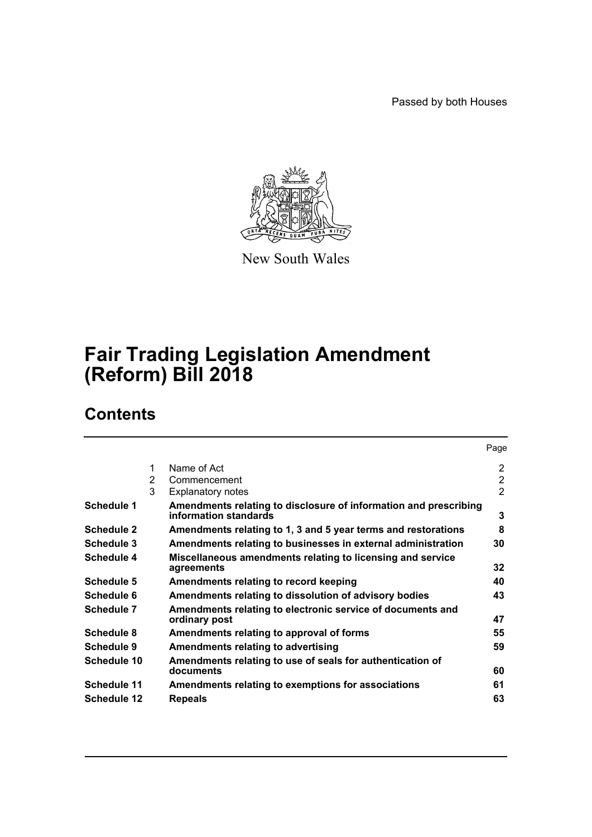Passed by both Houses



New South Wales

# **Fair Trading Legislation Amendment (Reform) Bill 2018**

# **Contents**

|                    |   |                                                                                           | Page           |
|--------------------|---|-------------------------------------------------------------------------------------------|----------------|
|                    | 1 | Name of Act                                                                               | 2              |
|                    | 2 | Commencement                                                                              | $\overline{2}$ |
|                    | 3 | <b>Explanatory notes</b>                                                                  | $\overline{2}$ |
| <b>Schedule 1</b>  |   | Amendments relating to disclosure of information and prescribing<br>information standards | 3              |
| <b>Schedule 2</b>  |   | Amendments relating to 1, 3 and 5 year terms and restorations                             | 8              |
| Schedule 3         |   | Amendments relating to businesses in external administration                              | 30             |
| Schedule 4         |   | Miscellaneous amendments relating to licensing and service<br>agreements                  | 32             |
| Schedule 5         |   | Amendments relating to record keeping                                                     | 40             |
| Schedule 6         |   | Amendments relating to dissolution of advisory bodies                                     | 43             |
| Schedule 7         |   | Amendments relating to electronic service of documents and<br>ordinary post               | 47             |
| Schedule 8         |   | Amendments relating to approval of forms                                                  | 55             |
| Schedule 9         |   | <b>Amendments relating to advertising</b>                                                 | 59             |
| Schedule 10        |   | Amendments relating to use of seals for authentication of<br>documents                    | 60             |
| <b>Schedule 11</b> |   | Amendments relating to exemptions for associations                                        | 61             |
| <b>Schedule 12</b> |   | <b>Repeals</b>                                                                            | 63             |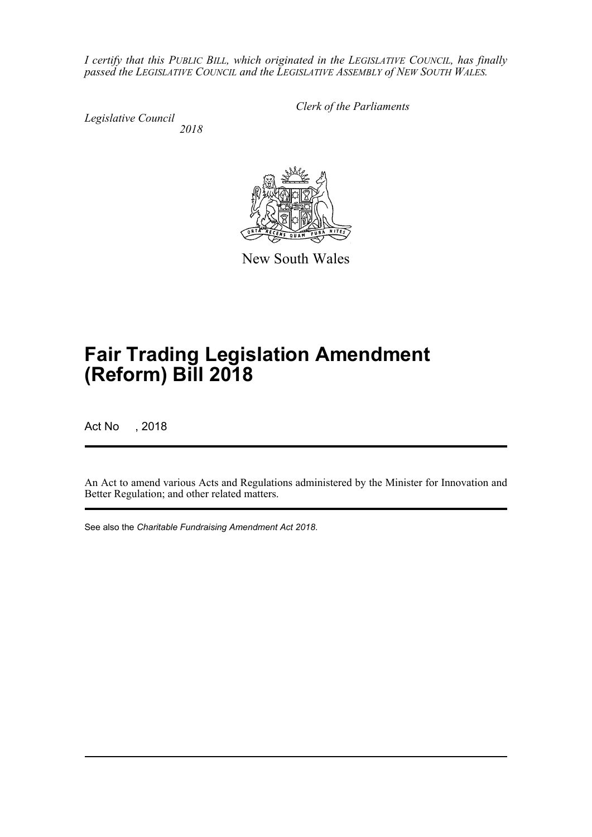*I certify that this PUBLIC BILL, which originated in the LEGISLATIVE COUNCIL, has finally passed the LEGISLATIVE COUNCIL and the LEGISLATIVE ASSEMBLY of NEW SOUTH WALES.*

*Legislative Council 2018* *Clerk of the Parliaments*

New South Wales

# **Fair Trading Legislation Amendment (Reform) Bill 2018**

Act No , 2018

An Act to amend various Acts and Regulations administered by the Minister for Innovation and Better Regulation; and other related matters.

See also the *Charitable Fundraising Amendment Act 2018*.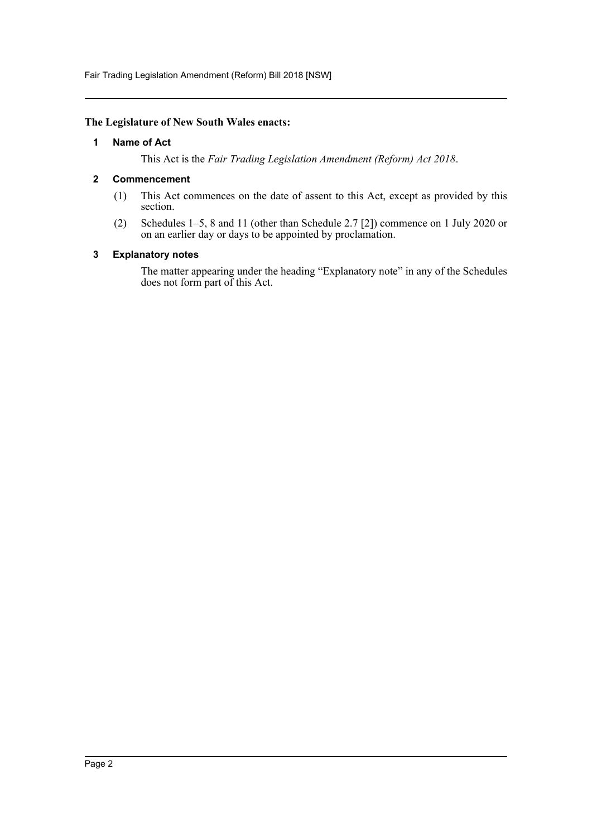Fair Trading Legislation Amendment (Reform) Bill 2018 [NSW]

## <span id="page-2-0"></span>**The Legislature of New South Wales enacts:**

## **1 Name of Act**

This Act is the *Fair Trading Legislation Amendment (Reform) Act 2018*.

## <span id="page-2-1"></span>**2 Commencement**

- (1) This Act commences on the date of assent to this Act, except as provided by this section.
- (2) Schedules 1–5, 8 and 11 (other than Schedule 2.7 [2]) commence on 1 July 2020 or on an earlier day or days to be appointed by proclamation.

## <span id="page-2-2"></span>**3 Explanatory notes**

The matter appearing under the heading "Explanatory note" in any of the Schedules does not form part of this Act.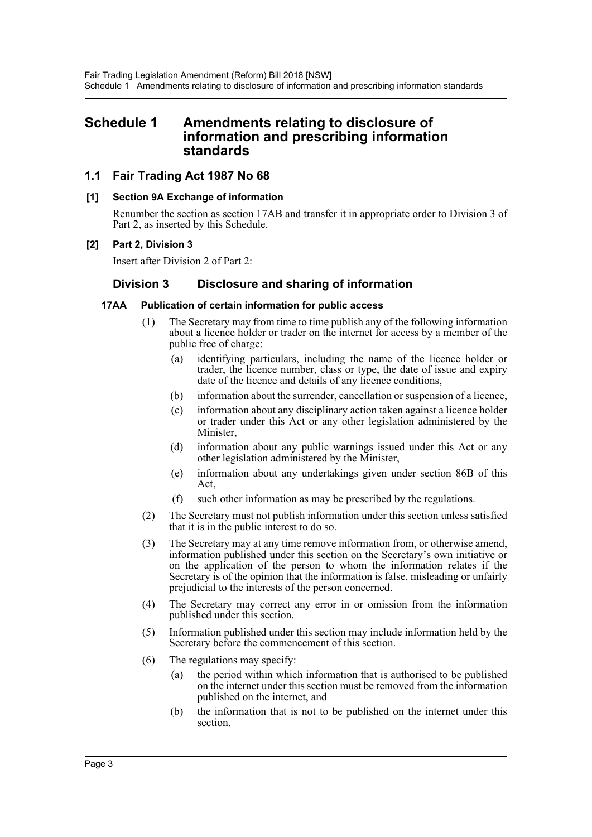## <span id="page-3-0"></span>**Schedule 1 Amendments relating to disclosure of information and prescribing information standards**

## **1.1 Fair Trading Act 1987 No 68**

## **[1] Section 9A Exchange of information**

Renumber the section as section 17AB and transfer it in appropriate order to Division 3 of Part 2, as inserted by this Schedule.

## **[2] Part 2, Division 3**

Insert after Division 2 of Part 2:

## **Division 3 Disclosure and sharing of information**

## **17AA Publication of certain information for public access**

- (1) The Secretary may from time to time publish any of the following information about a licence holder or trader on the internet for access by a member of the public free of charge:
	- (a) identifying particulars, including the name of the licence holder or trader, the licence number, class or type, the date of issue and expiry date of the licence and details of any licence conditions,
	- (b) information about the surrender, cancellation or suspension of a licence,
	- (c) information about any disciplinary action taken against a licence holder or trader under this Act or any other legislation administered by the Minister,
	- (d) information about any public warnings issued under this Act or any other legislation administered by the Minister,
	- (e) information about any undertakings given under section 86B of this Act,
	- (f) such other information as may be prescribed by the regulations.
- (2) The Secretary must not publish information under this section unless satisfied that it is in the public interest to do so.
- (3) The Secretary may at any time remove information from, or otherwise amend, information published under this section on the Secretary's own initiative or on the application of the person to whom the information relates if the Secretary is of the opinion that the information is false, misleading or unfairly prejudicial to the interests of the person concerned.
- (4) The Secretary may correct any error in or omission from the information published under this section.
- (5) Information published under this section may include information held by the Secretary before the commencement of this section.
- (6) The regulations may specify:
	- (a) the period within which information that is authorised to be published on the internet under this section must be removed from the information published on the internet, and
	- (b) the information that is not to be published on the internet under this section.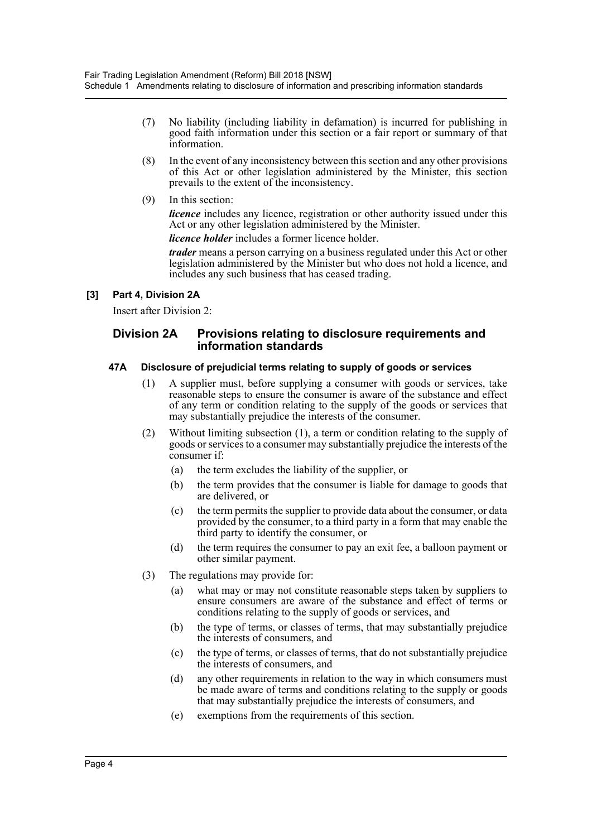- (7) No liability (including liability in defamation) is incurred for publishing in good faith information under this section or a fair report or summary of that information.
- (8) In the event of any inconsistency between this section and any other provisions of this Act or other legislation administered by the Minister, this section prevails to the extent of the inconsistency.
- (9) In this section:

*licence* includes any licence, registration or other authority issued under this Act or any other legislation administered by the Minister.

*licence holder* includes a former licence holder.

*trader* means a person carrying on a business regulated under this Act or other legislation administered by the Minister but who does not hold a licence, and includes any such business that has ceased trading.

## **[3] Part 4, Division 2A**

Insert after Division 2:

## **Division 2A Provisions relating to disclosure requirements and information standards**

## **47A Disclosure of prejudicial terms relating to supply of goods or services**

- (1) A supplier must, before supplying a consumer with goods or services, take reasonable steps to ensure the consumer is aware of the substance and effect of any term or condition relating to the supply of the goods or services that may substantially prejudice the interests of the consumer.
- (2) Without limiting subsection (1), a term or condition relating to the supply of goods or services to a consumer may substantially prejudice the interests of the consumer if:
	- (a) the term excludes the liability of the supplier, or
	- (b) the term provides that the consumer is liable for damage to goods that are delivered, or
	- (c) the term permits the supplier to provide data about the consumer, or data provided by the consumer, to a third party in a form that may enable the third party to identify the consumer, or
	- (d) the term requires the consumer to pay an exit fee, a balloon payment or other similar payment.
- (3) The regulations may provide for:
	- (a) what may or may not constitute reasonable steps taken by suppliers to ensure consumers are aware of the substance and effect of terms or conditions relating to the supply of goods or services, and
	- (b) the type of terms, or classes of terms, that may substantially prejudice the interests of consumers, and
	- (c) the type of terms, or classes of terms, that do not substantially prejudice the interests of consumers, and
	- (d) any other requirements in relation to the way in which consumers must be made aware of terms and conditions relating to the supply or goods that may substantially prejudice the interests of consumers, and
	- (e) exemptions from the requirements of this section.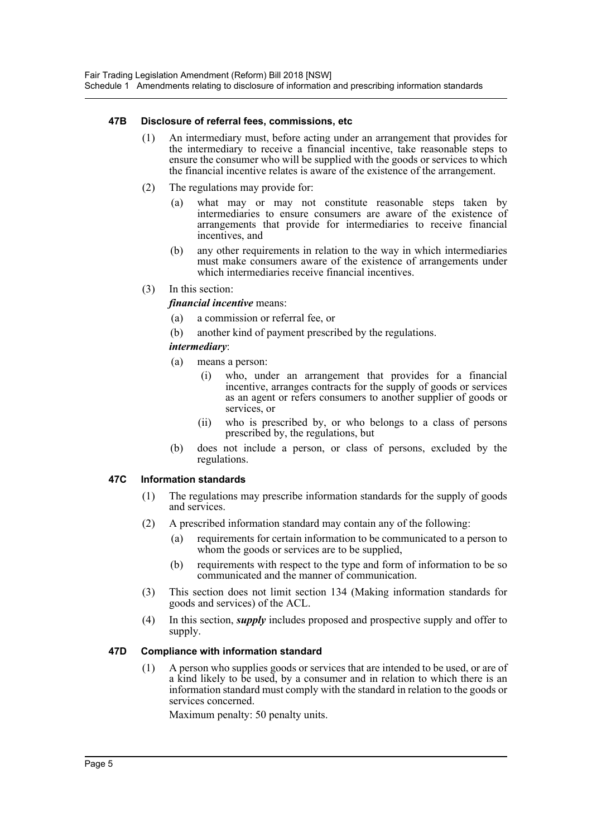## **47B Disclosure of referral fees, commissions, etc**

- (1) An intermediary must, before acting under an arrangement that provides for the intermediary to receive a financial incentive, take reasonable steps to ensure the consumer who will be supplied with the goods or services to which the financial incentive relates is aware of the existence of the arrangement.
- (2) The regulations may provide for:
	- (a) what may or may not constitute reasonable steps taken by intermediaries to ensure consumers are aware of the existence of arrangements that provide for intermediaries to receive financial incentives, and
	- (b) any other requirements in relation to the way in which intermediaries must make consumers aware of the existence of arrangements under which intermediaries receive financial incentives.
- (3) In this section:

## *financial incentive* means:

- (a) a commission or referral fee, or
- (b) another kind of payment prescribed by the regulations.
- *intermediary*:
- (a) means a person:
	- (i) who, under an arrangement that provides for a financial incentive, arranges contracts for the supply of goods or services as an agent or refers consumers to another supplier of goods or services, or
	- (ii) who is prescribed by, or who belongs to a class of persons prescribed by, the regulations, but
- (b) does not include a person, or class of persons, excluded by the regulations.

## **47C Information standards**

- (1) The regulations may prescribe information standards for the supply of goods and services.
- (2) A prescribed information standard may contain any of the following:
	- (a) requirements for certain information to be communicated to a person to whom the goods or services are to be supplied,
	- (b) requirements with respect to the type and form of information to be so communicated and the manner of communication.
- (3) This section does not limit section 134 (Making information standards for goods and services) of the ACL.
- (4) In this section, *supply* includes proposed and prospective supply and offer to supply.

## **47D Compliance with information standard**

(1) A person who supplies goods or services that are intended to be used, or are of a kind likely to be used, by a consumer and in relation to which there is an information standard must comply with the standard in relation to the goods or services concerned.

Maximum penalty: 50 penalty units.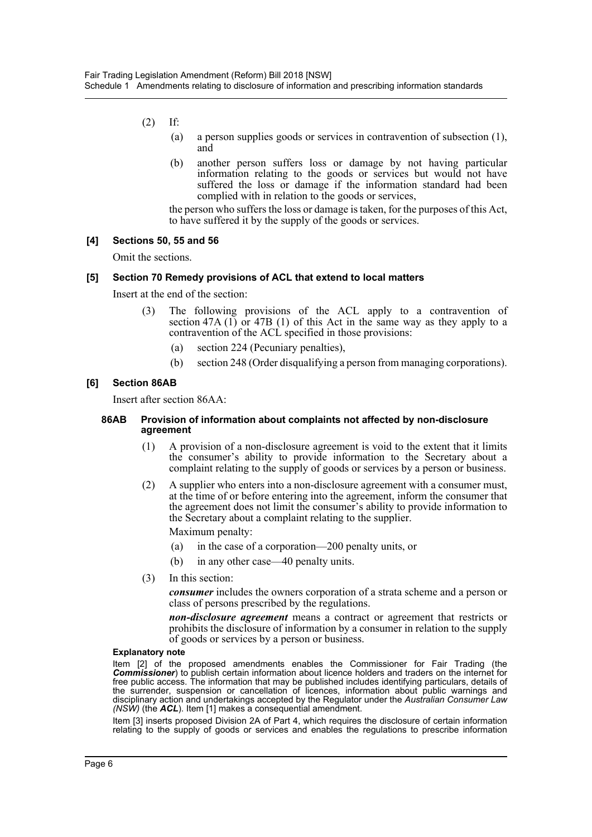- (2) If:
	- (a) a person supplies goods or services in contravention of subsection (1), and
	- (b) another person suffers loss or damage by not having particular information relating to the goods or services but would not have suffered the loss or damage if the information standard had been complied with in relation to the goods or services,

the person who suffers the loss or damage is taken, for the purposes of this Act, to have suffered it by the supply of the goods or services.

#### **[4] Sections 50, 55 and 56**

Omit the sections.

#### **[5] Section 70 Remedy provisions of ACL that extend to local matters**

Insert at the end of the section:

- (3) The following provisions of the ACL apply to a contravention of section 47A  $(1)$  or 47B  $(1)$  of this Act in the same way as they apply to a contravention of the ACL specified in those provisions:
	- (a) section 224 (Pecuniary penalties),
	- (b) section 248 (Order disqualifying a person from managing corporations).

#### **[6] Section 86AB**

Insert after section 86AA:

#### **86AB Provision of information about complaints not affected by non-disclosure agreement**

- (1) A provision of a non-disclosure agreement is void to the extent that it limits the consumer's ability to provide information to the Secretary about a complaint relating to the supply of goods or services by a person or business.
- (2) A supplier who enters into a non-disclosure agreement with a consumer must, at the time of or before entering into the agreement, inform the consumer that the agreement does not limit the consumer's ability to provide information to the Secretary about a complaint relating to the supplier.

Maximum penalty:

- (a) in the case of a corporation—200 penalty units, or
- (b) in any other case—40 penalty units.
- (3) In this section:

*consumer* includes the owners corporation of a strata scheme and a person or class of persons prescribed by the regulations.

*non-disclosure agreement* means a contract or agreement that restricts or prohibits the disclosure of information by a consumer in relation to the supply of goods or services by a person or business.

#### **Explanatory note**

Item [2] of the proposed amendments enables the Commissioner for Fair Trading (the *Commissioner*) to publish certain information about licence holders and traders on the internet for free public access. The information that may be published includes identifying particulars, details of the surrender, suspension or cancellation of licences, information about public warnings and disciplinary action and undertakings accepted by the Regulator under the *Australian Consumer Law (NSW)* (the *ACL*). Item [1] makes a consequential amendment.

Item [3] inserts proposed Division 2A of Part 4, which requires the disclosure of certain information relating to the supply of goods or services and enables the regulations to prescribe information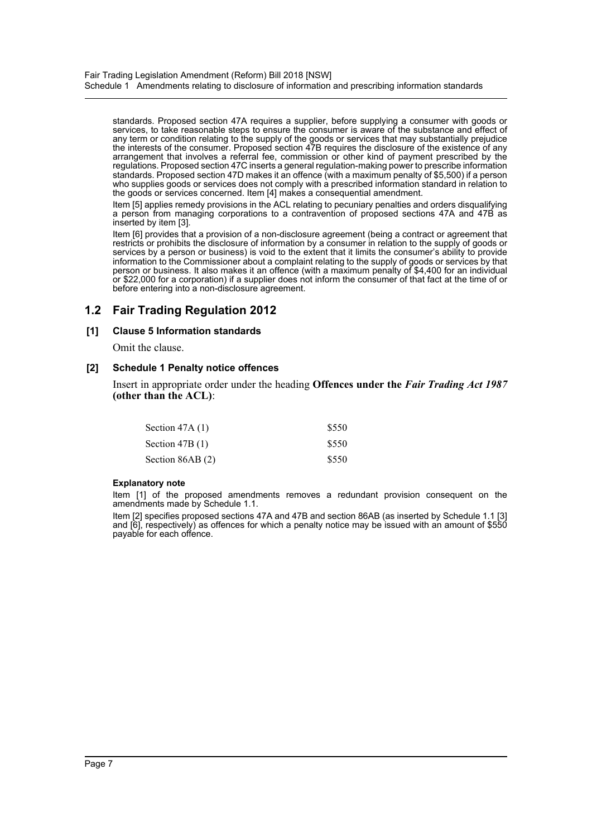standards. Proposed section 47A requires a supplier, before supplying a consumer with goods or services, to take reasonable steps to ensure the consumer is aware of the substance and effect of any term or condition relating to the supply of the goods or services that may substantially prejudice the interests of the consumer. Proposed section 47B requires the disclosure of the existence of any arrangement that involves a referral fee, commission or other kind of payment prescribed by the regulations. Proposed section 47C inserts a general regulation-making power to prescribe information standards. Proposed section 47D makes it an offence (with a maximum penalty of \$5,500) if a person who supplies goods or services does not comply with a prescribed information standard in relation to the goods or services concerned. Item [4] makes a consequential amendment.

Item [5] applies remedy provisions in the ACL relating to pecuniary penalties and orders disqualifying a person from managing corporations to a contravention of proposed sections 47A and 47B as inserted by item [3].

Item [6] provides that a provision of a non-disclosure agreement (being a contract or agreement that restricts or prohibits the disclosure of information by a consumer in relation to the supply of goods or services by a person or business) is void to the extent that it limits the consumer's ability to provide information to the Commissioner about a complaint relating to the supply of goods or services by that person or business. It also makes it an offence (with a maximum penalty of \$4,400 for an individual<br>or \$22,000 for a corporation) if a supplier does not inform the consumer of that fact at the time of or before entering into a non-disclosure agreement.

## **1.2 Fair Trading Regulation 2012**

## **[1] Clause 5 Information standards**

Omit the clause.

## **[2] Schedule 1 Penalty notice offences**

Insert in appropriate order under the heading **Offences under the** *Fair Trading Act 1987* **(other than the ACL)**:

| Section $47A(1)$ | \$550 |
|------------------|-------|
| Section $47B(1)$ | \$550 |
| Section 86AB (2) | \$550 |

## **Explanatory note**

Item [1] of the proposed amendments removes a redundant provision consequent on the amendments made by Schedule 1.1.

Item [2] specifies proposed sections 47A and 47B and section 86AB (as inserted by Schedule 1.1 [3] and [6], respectively) as offences for which a penalty notice may be issued with an amount of \$550 payable for each offence.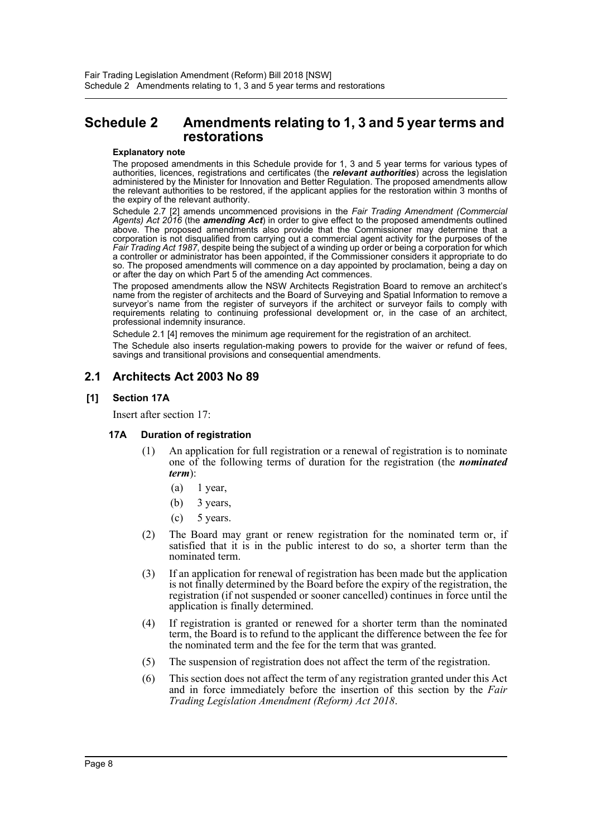## <span id="page-8-0"></span>**Schedule 2 Amendments relating to 1, 3 and 5 year terms and restorations**

#### **Explanatory note**

The proposed amendments in this Schedule provide for 1, 3 and 5 year terms for various types of authorities, licences, registrations and certificates (the *relevant authorities*) across the legislation administered by the Minister for Innovation and Better Regulation. The proposed amendments allow the relevant authorities to be restored, if the applicant applies for the restoration within 3 months of the expiry of the relevant authority.

Schedule 2.7 [2] amends uncommenced provisions in the *Fair Trading Amendment (Commercial Agents) Act 2016* (the *amending Act*) in order to give effect to the proposed amendments outlined above. The proposed amendments also provide that the Commissioner may determine that a corporation is not disqualified from carrying out a commercial agent activity for the purposes of the *Fair Trading Act 1987*, despite being the subject of a winding up order or being a corporation for which a controller or administrator has been appointed, if the Commissioner considers it appropriate to do so. The proposed amendments will commence on a day appointed by proclamation, being a day on or after the day on which Part 5 of the amending Act commences.

The proposed amendments allow the NSW Architects Registration Board to remove an architect's name from the register of architects and the Board of Surveying and Spatial Information to remove a surveyor's name from the register of surveyors if the architect or surveyor fails to comply with requirements relating to continuing professional development or, in the case of an architect, professional indemnity insurance.

Schedule 2.1 [4] removes the minimum age requirement for the registration of an architect.

The Schedule also inserts regulation-making powers to provide for the waiver or refund of fees, savings and transitional provisions and consequential amendments.

## **2.1 Architects Act 2003 No 89**

## **[1] Section 17A**

Insert after section 17:

## **17A Duration of registration**

- (1) An application for full registration or a renewal of registration is to nominate one of the following terms of duration for the registration (the *nominated term*):
	- $(a)$  1 year,
	- (b) 3 years,
	- $(c)$  5 years.
- (2) The Board may grant or renew registration for the nominated term or, if satisfied that it is in the public interest to do so, a shorter term than the nominated term.
- (3) If an application for renewal of registration has been made but the application is not finally determined by the Board before the expiry of the registration, the registration (if not suspended or sooner cancelled) continues in force until the application is finally determined.
- (4) If registration is granted or renewed for a shorter term than the nominated term, the Board is to refund to the applicant the difference between the fee for the nominated term and the fee for the term that was granted.
- (5) The suspension of registration does not affect the term of the registration.
- (6) This section does not affect the term of any registration granted under this Act and in force immediately before the insertion of this section by the *Fair Trading Legislation Amendment (Reform) Act 2018*.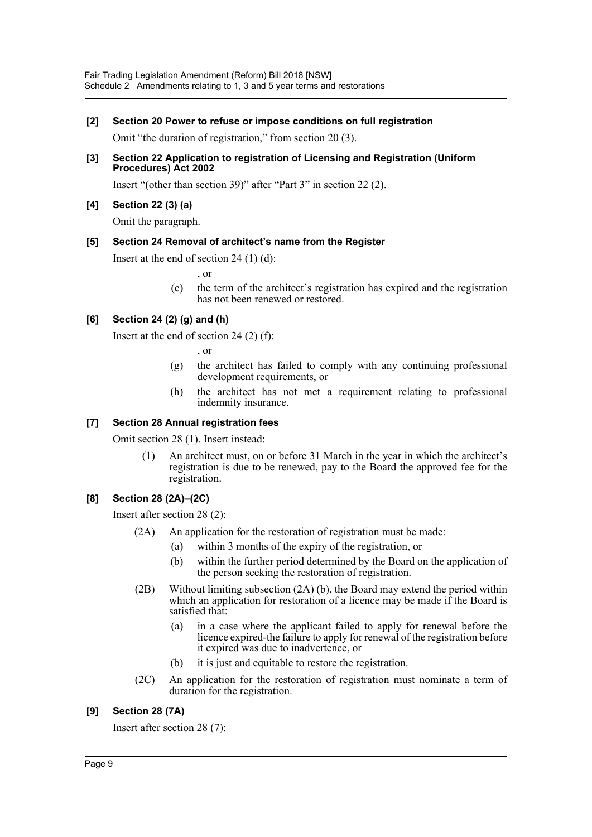## **[2] Section 20 Power to refuse or impose conditions on full registration**

Omit "the duration of registration," from section 20 (3).

**[3] Section 22 Application to registration of Licensing and Registration (Uniform Procedures) Act 2002**

Insert "(other than section 39)" after "Part 3" in section 22 (2).

## **[4] Section 22 (3) (a)**

Omit the paragraph.

## **[5] Section 24 Removal of architect's name from the Register**

Insert at the end of section 24 (1) (d):

- , or
- (e) the term of the architect's registration has expired and the registration has not been renewed or restored.

## **[6] Section 24 (2) (g) and (h)**

Insert at the end of section 24 (2) (f):

, or

- (g) the architect has failed to comply with any continuing professional development requirements, or
- (h) the architect has not met a requirement relating to professional indemnity insurance.

## **[7] Section 28 Annual registration fees**

Omit section 28 (1). Insert instead:

(1) An architect must, on or before 31 March in the year in which the architect's registration is due to be renewed, pay to the Board the approved fee for the registration.

## **[8] Section 28 (2A)–(2C)**

Insert after section 28 (2):

- (2A) An application for the restoration of registration must be made:
	- (a) within 3 months of the expiry of the registration, or
	- (b) within the further period determined by the Board on the application of the person seeking the restoration of registration.
- (2B) Without limiting subsection (2A) (b), the Board may extend the period within which an application for restoration of a licence may be made if the Board is satisfied that:
	- (a) in a case where the applicant failed to apply for renewal before the licence expired-the failure to apply for renewal of the registration before it expired was due to inadvertence, or
	- (b) it is just and equitable to restore the registration.
- (2C) An application for the restoration of registration must nominate a term of duration for the registration.

## **[9] Section 28 (7A)**

Insert after section 28 (7):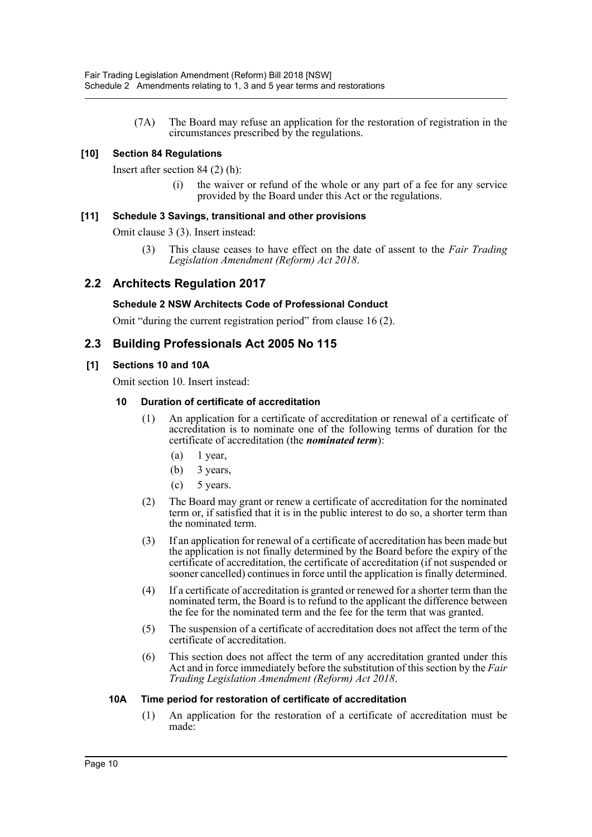(7A) The Board may refuse an application for the restoration of registration in the circumstances prescribed by the regulations.

## **[10] Section 84 Regulations**

Insert after section 84 (2) (h):

the waiver or refund of the whole or any part of a fee for any service provided by the Board under this Act or the regulations.

## **[11] Schedule 3 Savings, transitional and other provisions**

Omit clause 3 (3). Insert instead:

(3) This clause ceases to have effect on the date of assent to the *Fair Trading Legislation Amendment (Reform) Act 2018*.

## **2.2 Architects Regulation 2017**

## **Schedule 2 NSW Architects Code of Professional Conduct**

Omit "during the current registration period" from clause 16 (2).

## **2.3 Building Professionals Act 2005 No 115**

## **[1] Sections 10 and 10A**

Omit section 10. Insert instead:

## **10 Duration of certificate of accreditation**

- (1) An application for a certificate of accreditation or renewal of a certificate of accreditation is to nominate one of the following terms of duration for the certificate of accreditation (the *nominated term*):
	- $(a)$  1 year,
	- (b) 3 years,
	- $(c)$  5 years.
- (2) The Board may grant or renew a certificate of accreditation for the nominated term or, if satisfied that it is in the public interest to do so, a shorter term than the nominated term.
- (3) If an application for renewal of a certificate of accreditation has been made but the application is not finally determined by the Board before the expiry of the certificate of accreditation, the certificate of accreditation (if not suspended or sooner cancelled) continues in force until the application is finally determined.
- (4) If a certificate of accreditation is granted or renewed for a shorter term than the nominated term, the Board is to refund to the applicant the difference between the fee for the nominated term and the fee for the term that was granted.
- (5) The suspension of a certificate of accreditation does not affect the term of the certificate of accreditation.
- (6) This section does not affect the term of any accreditation granted under this Act and in force immediately before the substitution of this section by the *Fair Trading Legislation Amendment (Reform) Act 2018*.

## **10A Time period for restoration of certificate of accreditation**

(1) An application for the restoration of a certificate of accreditation must be made: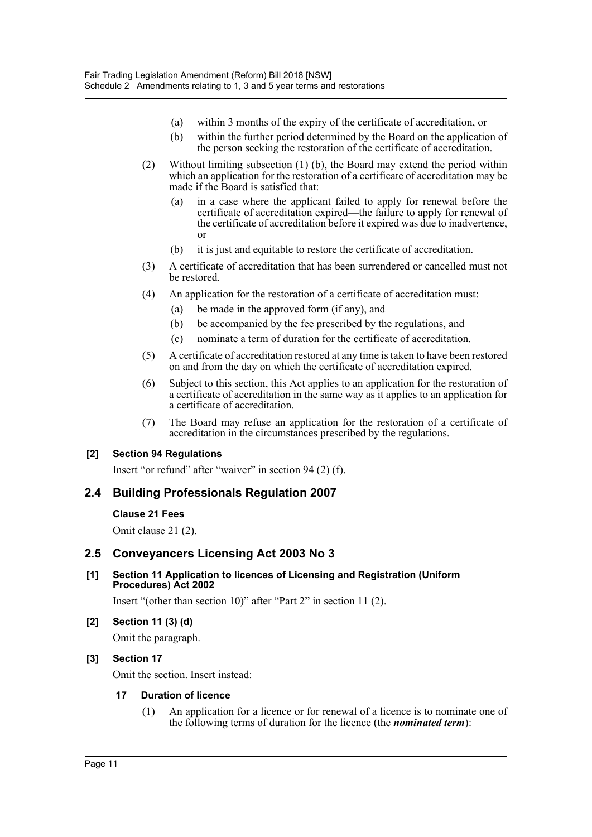- (a) within 3 months of the expiry of the certificate of accreditation, or
- (b) within the further period determined by the Board on the application of the person seeking the restoration of the certificate of accreditation.
- (2) Without limiting subsection (1) (b), the Board may extend the period within which an application for the restoration of a certificate of accreditation may be made if the Board is satisfied that:
	- (a) in a case where the applicant failed to apply for renewal before the certificate of accreditation expired—the failure to apply for renewal of the certificate of accreditation before it expired was due to inadvertence, or
	- (b) it is just and equitable to restore the certificate of accreditation.
- (3) A certificate of accreditation that has been surrendered or cancelled must not be restored.
- (4) An application for the restoration of a certificate of accreditation must:
	- (a) be made in the approved form (if any), and
	- (b) be accompanied by the fee prescribed by the regulations, and
	- (c) nominate a term of duration for the certificate of accreditation.
- (5) A certificate of accreditation restored at any time is taken to have been restored on and from the day on which the certificate of accreditation expired.
- (6) Subject to this section, this Act applies to an application for the restoration of a certificate of accreditation in the same way as it applies to an application for a certificate of accreditation.
- (7) The Board may refuse an application for the restoration of a certificate of accreditation in the circumstances prescribed by the regulations.

## **[2] Section 94 Regulations**

Insert "or refund" after "waiver" in section 94 (2) (f).

## **2.4 Building Professionals Regulation 2007**

## **Clause 21 Fees**

Omit clause 21 (2).

## **2.5 Conveyancers Licensing Act 2003 No 3**

## **[1] Section 11 Application to licences of Licensing and Registration (Uniform Procedures) Act 2002**

Insert "(other than section 10)" after "Part 2" in section 11 (2).

## **[2] Section 11 (3) (d)**

Omit the paragraph.

## **[3] Section 17**

Omit the section. Insert instead:

## **17 Duration of licence**

(1) An application for a licence or for renewal of a licence is to nominate one of the following terms of duration for the licence (the *nominated term*):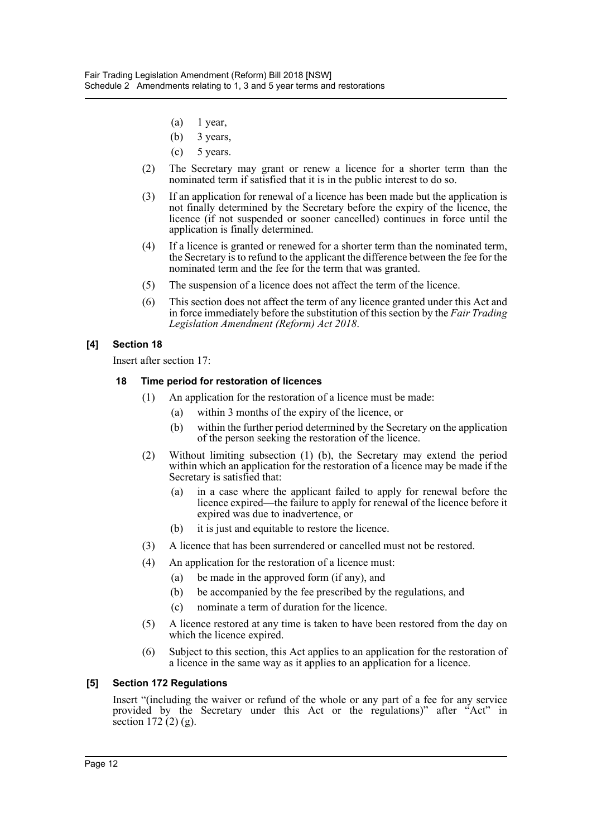- (a) 1 year,
- (b) 3 years,
- (c) 5 years.
- (2) The Secretary may grant or renew a licence for a shorter term than the nominated term if satisfied that it is in the public interest to do so.
- (3) If an application for renewal of a licence has been made but the application is not finally determined by the Secretary before the expiry of the licence, the licence (if not suspended or sooner cancelled) continues in force until the application is finally determined.
- (4) If a licence is granted or renewed for a shorter term than the nominated term, the Secretary is to refund to the applicant the difference between the fee for the nominated term and the fee for the term that was granted.
- (5) The suspension of a licence does not affect the term of the licence.
- (6) This section does not affect the term of any licence granted under this Act and in force immediately before the substitution of this section by the *Fair Trading Legislation Amendment (Reform) Act 2018*.

## **[4] Section 18**

Insert after section 17:

## **18 Time period for restoration of licences**

- (1) An application for the restoration of a licence must be made:
	- (a) within 3 months of the expiry of the licence, or
	- (b) within the further period determined by the Secretary on the application of the person seeking the restoration of the licence.
- (2) Without limiting subsection (1) (b), the Secretary may extend the period within which an application for the restoration of a licence may be made if the Secretary is satisfied that:
	- (a) in a case where the applicant failed to apply for renewal before the licence expired—the failure to apply for renewal of the licence before it expired was due to inadvertence, or
	- (b) it is just and equitable to restore the licence.
- (3) A licence that has been surrendered or cancelled must not be restored.
- (4) An application for the restoration of a licence must:
	- (a) be made in the approved form (if any), and
	- (b) be accompanied by the fee prescribed by the regulations, and
	- (c) nominate a term of duration for the licence.
- (5) A licence restored at any time is taken to have been restored from the day on which the licence expired.
- (6) Subject to this section, this Act applies to an application for the restoration of a licence in the same way as it applies to an application for a licence.

## **[5] Section 172 Regulations**

Insert "(including the waiver or refund of the whole or any part of a fee for any service provided by the Secretary under this Act or the regulations)" after "Act" in section  $172(2)(g)$ .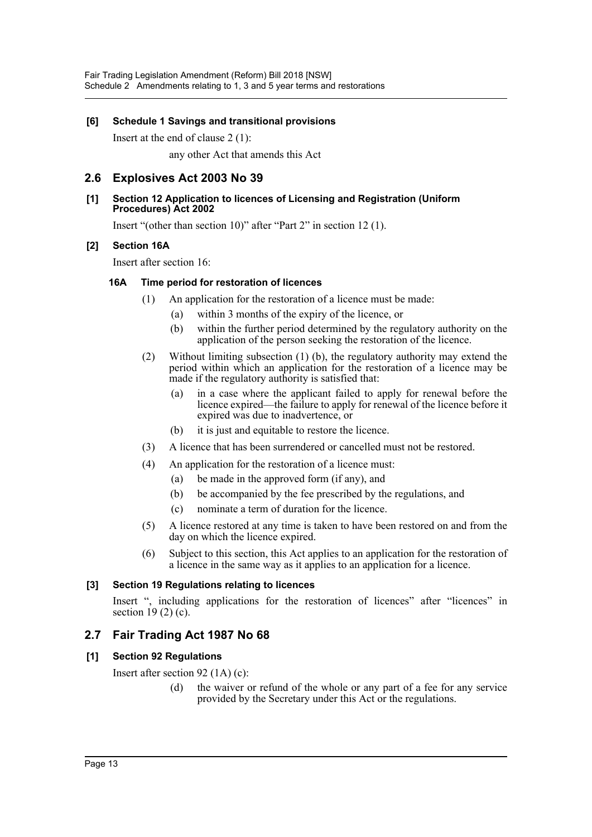## **[6] Schedule 1 Savings and transitional provisions**

Insert at the end of clause 2 (1):

any other Act that amends this Act

## **2.6 Explosives Act 2003 No 39**

## **[1] Section 12 Application to licences of Licensing and Registration (Uniform Procedures) Act 2002**

Insert "(other than section 10)" after "Part 2" in section 12 (1).

## **[2] Section 16A**

Insert after section 16:

## **16A Time period for restoration of licences**

- (1) An application for the restoration of a licence must be made:
	- (a) within 3 months of the expiry of the licence, or
	- (b) within the further period determined by the regulatory authority on the application of the person seeking the restoration of the licence.
- (2) Without limiting subsection (1) (b), the regulatory authority may extend the period within which an application for the restoration of a licence may be made if the regulatory authority is satisfied that:
	- (a) in a case where the applicant failed to apply for renewal before the licence expired—the failure to apply for renewal of the licence before it expired was due to inadvertence, or
	- (b) it is just and equitable to restore the licence.
- (3) A licence that has been surrendered or cancelled must not be restored.
- (4) An application for the restoration of a licence must:
	- (a) be made in the approved form (if any), and
	- (b) be accompanied by the fee prescribed by the regulations, and
	- (c) nominate a term of duration for the licence.
- (5) A licence restored at any time is taken to have been restored on and from the day on which the licence expired.
- (6) Subject to this section, this Act applies to an application for the restoration of a licence in the same way as it applies to an application for a licence.

## **[3] Section 19 Regulations relating to licences**

Insert ", including applications for the restoration of licences" after "licences" in section  $19(2)$  (c).

## **2.7 Fair Trading Act 1987 No 68**

## **[1] Section 92 Regulations**

Insert after section 92 (1A) (c):

(d) the waiver or refund of the whole or any part of a fee for any service provided by the Secretary under this Act or the regulations.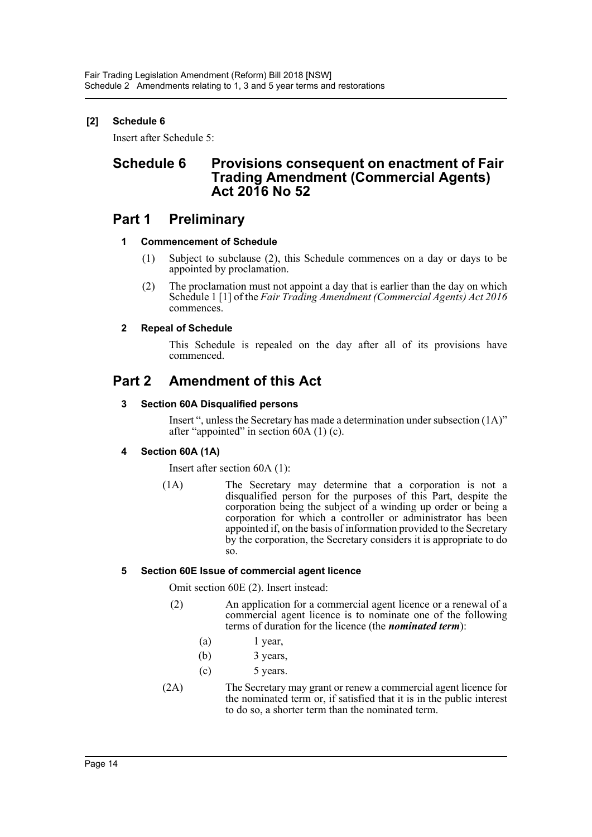## **[2] Schedule 6**

Insert after Schedule 5:

## **Schedule 6 Provisions consequent on enactment of Fair Trading Amendment (Commercial Agents) Act 2016 No 52**

## **Part 1 Preliminary**

## **1 Commencement of Schedule**

- (1) Subject to subclause (2), this Schedule commences on a day or days to be appointed by proclamation.
- (2) The proclamation must not appoint a day that is earlier than the day on which Schedule 1 [1] of the *Fair Trading Amendment (Commercial Agents) Act 2016* commences.

## **2 Repeal of Schedule**

This Schedule is repealed on the day after all of its provisions have commenced.

## **Part 2 Amendment of this Act**

## **3 Section 60A Disqualified persons**

Insert ", unless the Secretary has made a determination under subsection (1A)" after "appointed" in section 60A (1) (c).

## **4 Section 60A (1A)**

Insert after section 60A (1):

(1A) The Secretary may determine that a corporation is not a disqualified person for the purposes of this Part, despite the corporation being the subject of a winding up order or being a corporation for which a controller or administrator has been appointed if, on the basis of information provided to the Secretary by the corporation, the Secretary considers it is appropriate to do so.

## **5 Section 60E Issue of commercial agent licence**

Omit section 60E (2). Insert instead:

- (2) An application for a commercial agent licence or a renewal of a commercial agent licence is to nominate one of the following terms of duration for the licence (the *nominated term*):
	- $(a)$  1 year,
	- $(b)$  3 years,
	- (c) 5 years.
- (2A) The Secretary may grant or renew a commercial agent licence for the nominated term or, if satisfied that it is in the public interest to do so, a shorter term than the nominated term.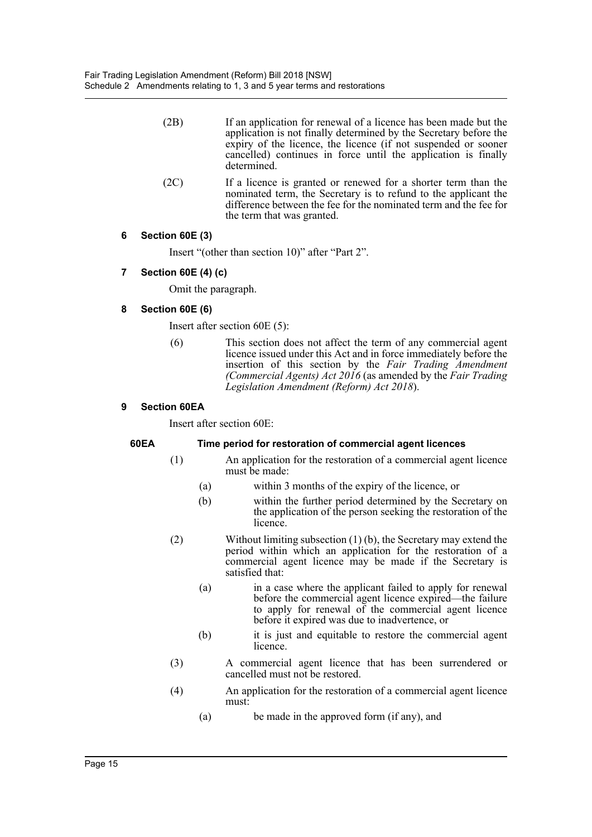- (2B) If an application for renewal of a licence has been made but the application is not finally determined by the Secretary before the expiry of the licence, the licence (if not suspended or sooner cancelled) continues in force until the application is finally determined.
- (2C) If a licence is granted or renewed for a shorter term than the nominated term, the Secretary is to refund to the applicant the difference between the fee for the nominated term and the fee for the term that was granted.

## **6 Section 60E (3)**

Insert "(other than section 10)" after "Part 2".

## **7 Section 60E (4) (c)**

Omit the paragraph.

## **8 Section 60E (6)**

Insert after section 60E (5):

(6) This section does not affect the term of any commercial agent licence issued under this Act and in force immediately before the insertion of this section by the *Fair Trading Amendment (Commercial Agents) Act 2016* (as amended by the *Fair Trading Legislation Amendment (Reform) Act 2018*).

## **9 Section 60EA**

Insert after section 60E:

## **60EA Time period for restoration of commercial agent licences**

- (1) An application for the restoration of a commercial agent licence must be made:
	- (a) within 3 months of the expiry of the licence, or
	- (b) within the further period determined by the Secretary on the application of the person seeking the restoration of the licence.
- (2) Without limiting subsection (1) (b), the Secretary may extend the period within which an application for the restoration of a commercial agent licence may be made if the Secretary is satisfied that:
	- (a) in a case where the applicant failed to apply for renewal before the commercial agent licence expired—the failure to apply for renewal of the commercial agent licence before it expired was due to inadvertence, or
	- (b) it is just and equitable to restore the commercial agent licence.
- (3) A commercial agent licence that has been surrendered or cancelled must not be restored.
- (4) An application for the restoration of a commercial agent licence must:
	- (a) be made in the approved form (if any), and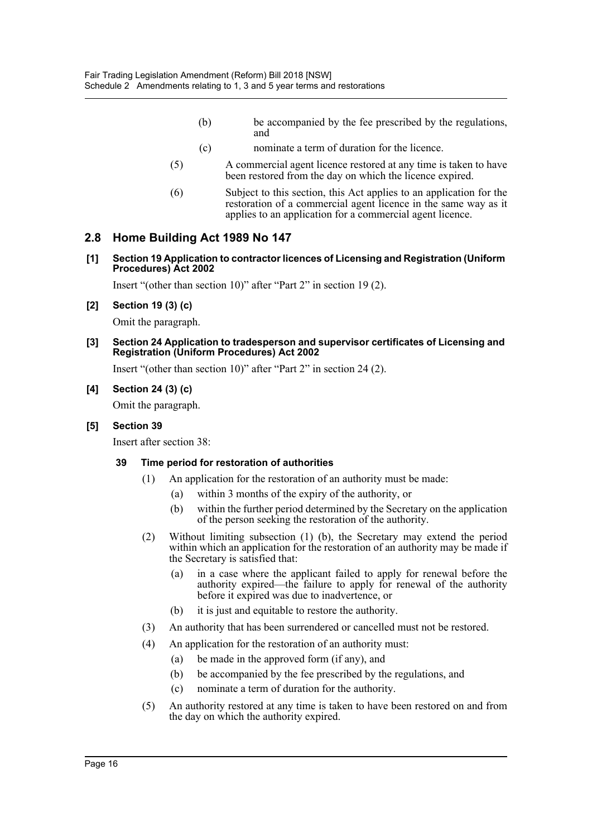- (b) be accompanied by the fee prescribed by the regulations, and
- (c) nominate a term of duration for the licence.
- (5) A commercial agent licence restored at any time is taken to have been restored from the day on which the licence expired.
- (6) Subject to this section, this Act applies to an application for the restoration of a commercial agent licence in the same way as it applies to an application for a commercial agent licence.

## **2.8 Home Building Act 1989 No 147**

**[1] Section 19 Application to contractor licences of Licensing and Registration (Uniform Procedures) Act 2002**

Insert "(other than section 10)" after "Part 2" in section 19 (2).

**[2] Section 19 (3) (c)**

Omit the paragraph.

**[3] Section 24 Application to tradesperson and supervisor certificates of Licensing and Registration (Uniform Procedures) Act 2002**

Insert "(other than section 10)" after "Part 2" in section 24 (2).

## **[4] Section 24 (3) (c)**

Omit the paragraph.

## **[5] Section 39**

Insert after section 38:

## **39 Time period for restoration of authorities**

- (1) An application for the restoration of an authority must be made:
	- (a) within 3 months of the expiry of the authority, or
	- (b) within the further period determined by the Secretary on the application of the person seeking the restoration of the authority.
- (2) Without limiting subsection (1) (b), the Secretary may extend the period within which an application for the restoration of an authority may be made if the Secretary is satisfied that:
	- (a) in a case where the applicant failed to apply for renewal before the authority expired—the failure to apply for renewal of the authority before it expired was due to inadvertence, or
	- (b) it is just and equitable to restore the authority.
- (3) An authority that has been surrendered or cancelled must not be restored.
- (4) An application for the restoration of an authority must:
	- (a) be made in the approved form (if any), and
	- (b) be accompanied by the fee prescribed by the regulations, and
	- (c) nominate a term of duration for the authority.
- (5) An authority restored at any time is taken to have been restored on and from the day on which the authority expired.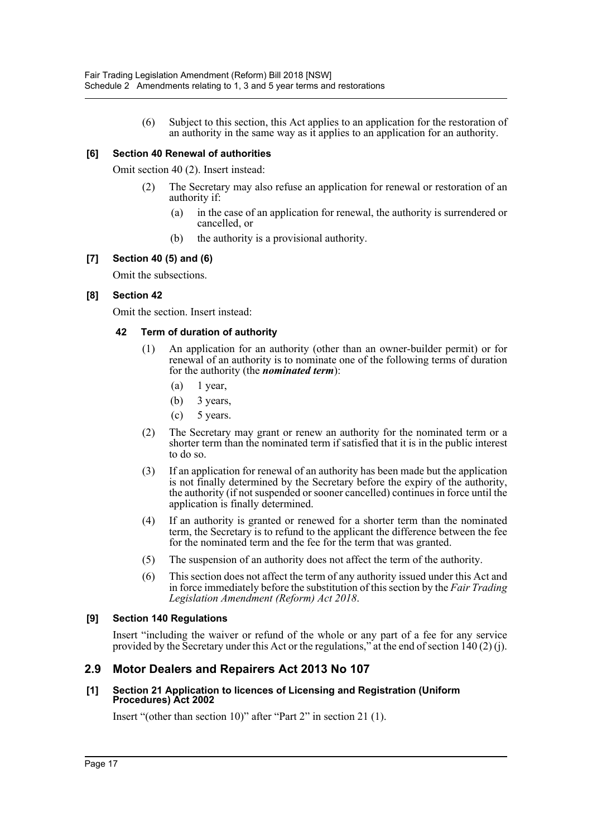(6) Subject to this section, this Act applies to an application for the restoration of an authority in the same way as it applies to an application for an authority.

## **[6] Section 40 Renewal of authorities**

Omit section 40 (2). Insert instead:

- (2) The Secretary may also refuse an application for renewal or restoration of an authority if:
	- (a) in the case of an application for renewal, the authority is surrendered or cancelled, or
	- (b) the authority is a provisional authority.

## **[7] Section 40 (5) and (6)**

Omit the subsections.

## **[8] Section 42**

Omit the section. Insert instead:

## **42 Term of duration of authority**

- (1) An application for an authority (other than an owner-builder permit) or for renewal of an authority is to nominate one of the following terms of duration for the authority (the *nominated term*):
	- $(a)$  1 year,
	- (b) 3 years,
	- $(c)$  5 years.
- (2) The Secretary may grant or renew an authority for the nominated term or a shorter term than the nominated term if satisfied that it is in the public interest to do so.
- (3) If an application for renewal of an authority has been made but the application is not finally determined by the Secretary before the expiry of the authority, the authority (if not suspended or sooner cancelled) continues in force until the application is finally determined.
- (4) If an authority is granted or renewed for a shorter term than the nominated term, the Secretary is to refund to the applicant the difference between the fee for the nominated term and the fee for the term that was granted.
- (5) The suspension of an authority does not affect the term of the authority.
- (6) This section does not affect the term of any authority issued under this Act and in force immediately before the substitution of this section by the *Fair Trading Legislation Amendment (Reform) Act 2018*.

## **[9] Section 140 Regulations**

Insert "including the waiver or refund of the whole or any part of a fee for any service provided by the Secretary under this Act or the regulations," at the end of section 140 (2) (j).

## **2.9 Motor Dealers and Repairers Act 2013 No 107**

## **[1] Section 21 Application to licences of Licensing and Registration (Uniform Procedures) Act 2002**

Insert "(other than section 10)" after "Part 2" in section 21 (1).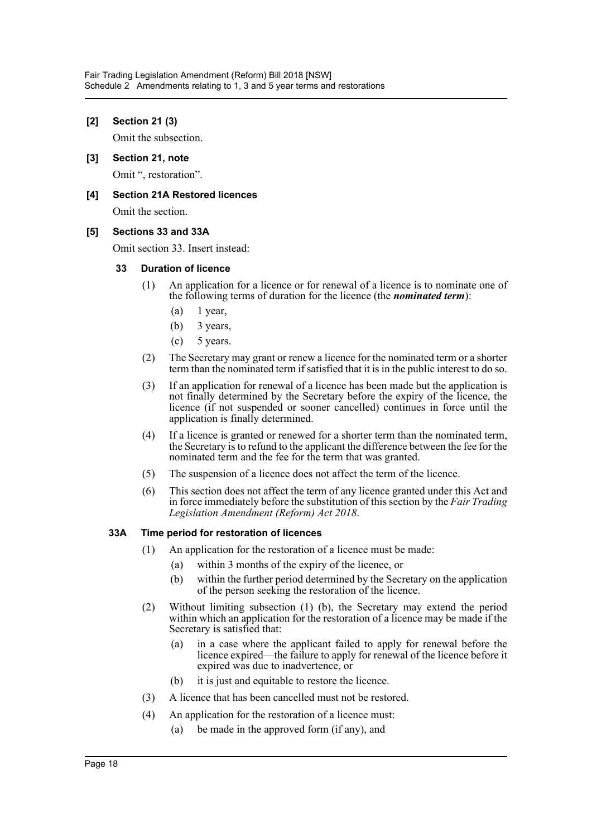## **[2] Section 21 (3)**

Omit the subsection.

**[3] Section 21, note** Omit ", restoration".

## **[4] Section 21A Restored licences**

Omit the section.

## **[5] Sections 33 and 33A**

Omit section 33. Insert instead:

## **33 Duration of licence**

- (1) An application for a licence or for renewal of a licence is to nominate one of the following terms of duration for the licence (the *nominated term*):
	- $(a)$  1 year,
	- (b) 3 years,
	- (c) 5 years.
- (2) The Secretary may grant or renew a licence for the nominated term or a shorter term than the nominated term if satisfied that it is in the public interest to do so.
- (3) If an application for renewal of a licence has been made but the application is not finally determined by the Secretary before the expiry of the licence, the licence (if not suspended or sooner cancelled) continues in force until the application is finally determined.
- (4) If a licence is granted or renewed for a shorter term than the nominated term, the Secretary is to refund to the applicant the difference between the fee for the nominated term and the fee for the term that was granted.
- (5) The suspension of a licence does not affect the term of the licence.
- (6) This section does not affect the term of any licence granted under this Act and in force immediately before the substitution of this section by the *Fair Trading Legislation Amendment (Reform) Act 2018*.

## **33A Time period for restoration of licences**

- (1) An application for the restoration of a licence must be made:
	- (a) within 3 months of the expiry of the licence, or
	- (b) within the further period determined by the Secretary on the application of the person seeking the restoration of the licence.
- (2) Without limiting subsection (1) (b), the Secretary may extend the period within which an application for the restoration of a licence may be made if the Secretary is satisfied that:
	- (a) in a case where the applicant failed to apply for renewal before the licence expired—the failure to apply for renewal of the licence before it expired was due to inadvertence, or
	- (b) it is just and equitable to restore the licence.
- (3) A licence that has been cancelled must not be restored.
- (4) An application for the restoration of a licence must:
	- (a) be made in the approved form (if any), and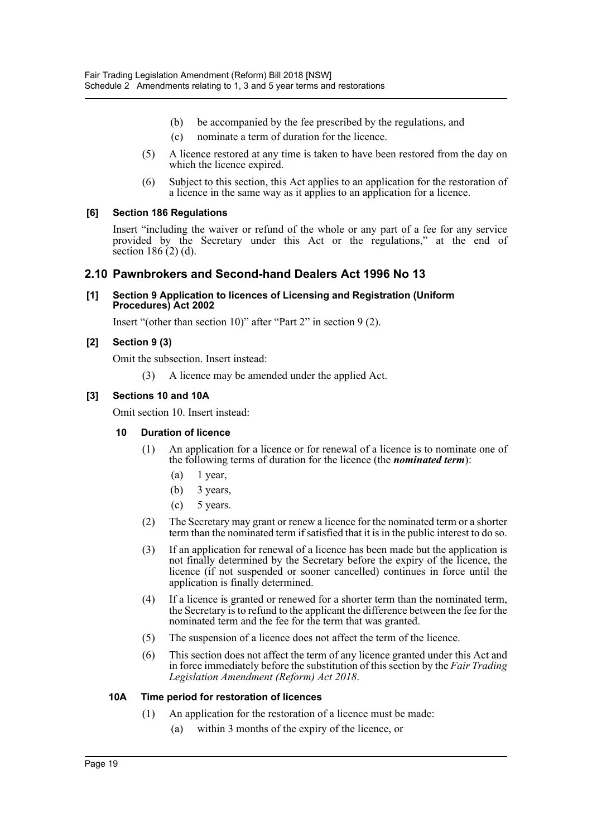- (b) be accompanied by the fee prescribed by the regulations, and
- (c) nominate a term of duration for the licence.
- (5) A licence restored at any time is taken to have been restored from the day on which the licence expired.
- (6) Subject to this section, this Act applies to an application for the restoration of a licence in the same way as it applies to an application for a licence.

## **[6] Section 186 Regulations**

Insert "including the waiver or refund of the whole or any part of a fee for any service provided by the Secretary under this Act or the regulations," at the end of section  $186(2)$  (d).

## **2.10 Pawnbrokers and Second-hand Dealers Act 1996 No 13**

**[1] Section 9 Application to licences of Licensing and Registration (Uniform Procedures) Act 2002**

Insert "(other than section 10)" after "Part 2" in section 9 (2).

## **[2] Section 9 (3)**

Omit the subsection. Insert instead:

(3) A licence may be amended under the applied Act.

## **[3] Sections 10 and 10A**

Omit section 10. Insert instead:

## **10 Duration of licence**

- (1) An application for a licence or for renewal of a licence is to nominate one of the following terms of duration for the licence (the *nominated term*):
	- $(a)$  1 year,
	- (b) 3 years,
	- (c) 5 years.
- (2) The Secretary may grant or renew a licence for the nominated term or a shorter term than the nominated term if satisfied that it is in the public interest to do so.
- (3) If an application for renewal of a licence has been made but the application is not finally determined by the Secretary before the expiry of the licence, the licence (if not suspended or sooner cancelled) continues in force until the application is finally determined.
- (4) If a licence is granted or renewed for a shorter term than the nominated term, the Secretary is to refund to the applicant the difference between the fee for the nominated term and the fee for the term that was granted.
- (5) The suspension of a licence does not affect the term of the licence.
- (6) This section does not affect the term of any licence granted under this Act and in force immediately before the substitution of this section by the *Fair Trading Legislation Amendment (Reform) Act 2018*.

## **10A Time period for restoration of licences**

- (1) An application for the restoration of a licence must be made:
	- (a) within 3 months of the expiry of the licence, or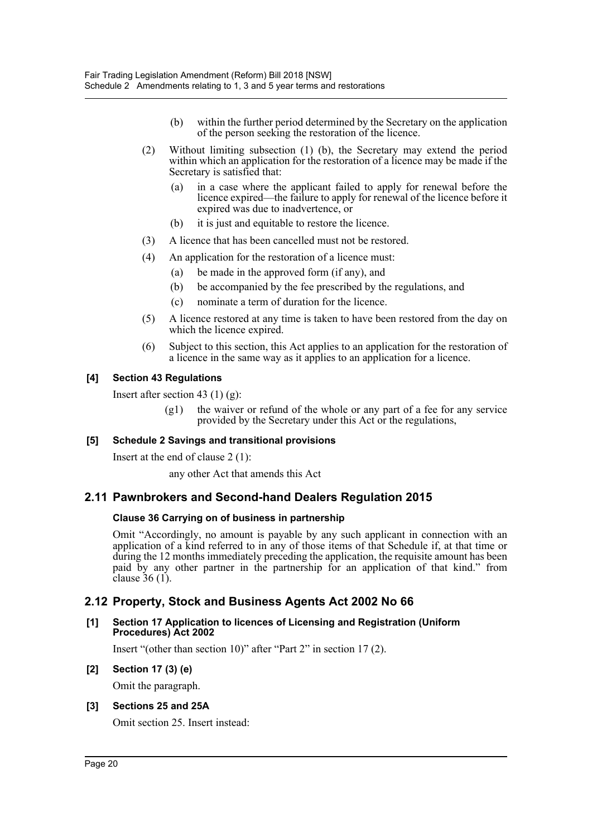- (b) within the further period determined by the Secretary on the application of the person seeking the restoration of the licence.
- (2) Without limiting subsection (1) (b), the Secretary may extend the period within which an application for the restoration of a licence may be made if the Secretary is satisfied that:
	- (a) in a case where the applicant failed to apply for renewal before the licence expired—the failure to apply for renewal of the licence before it expired was due to inadvertence, or
	- (b) it is just and equitable to restore the licence.
- (3) A licence that has been cancelled must not be restored.
- (4) An application for the restoration of a licence must:
	- (a) be made in the approved form (if any), and
	- (b) be accompanied by the fee prescribed by the regulations, and
	- (c) nominate a term of duration for the licence.
- (5) A licence restored at any time is taken to have been restored from the day on which the licence expired.
- (6) Subject to this section, this Act applies to an application for the restoration of a licence in the same way as it applies to an application for a licence.

#### **[4] Section 43 Regulations**

Insert after section 43  $(1)$   $(g)$ :

(g1) the waiver or refund of the whole or any part of a fee for any service provided by the Secretary under this Act or the regulations,

## **[5] Schedule 2 Savings and transitional provisions**

Insert at the end of clause 2 (1):

any other Act that amends this Act

## **2.11 Pawnbrokers and Second-hand Dealers Regulation 2015**

#### **Clause 36 Carrying on of business in partnership**

Omit "Accordingly, no amount is payable by any such applicant in connection with an application of a kind referred to in any of those items of that Schedule if, at that time or during the 12 months immediately preceding the application, the requisite amount has been paid by any other partner in the partnership for an application of that kind." from clause  $36(1)$ .

## **2.12 Property, Stock and Business Agents Act 2002 No 66**

#### **[1] Section 17 Application to licences of Licensing and Registration (Uniform Procedures) Act 2002**

Insert "(other than section 10)" after "Part 2" in section 17 (2).

#### **[2] Section 17 (3) (e)**

Omit the paragraph.

#### **[3] Sections 25 and 25A**

Omit section 25. Insert instead: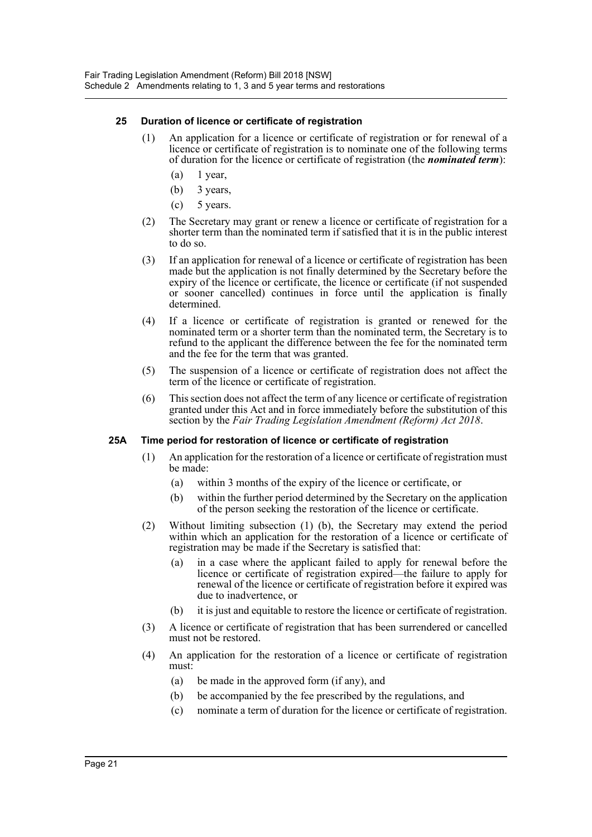## **25 Duration of licence or certificate of registration**

- (1) An application for a licence or certificate of registration or for renewal of a licence or certificate of registration is to nominate one of the following terms of duration for the licence or certificate of registration (the *nominated term*):
	- $(a)$  1 year,
	- (b) 3 years,
	- $(c)$  5 years.
- (2) The Secretary may grant or renew a licence or certificate of registration for a shorter term than the nominated term if satisfied that it is in the public interest to do so.
- (3) If an application for renewal of a licence or certificate of registration has been made but the application is not finally determined by the Secretary before the expiry of the licence or certificate, the licence or certificate (if not suspended or sooner cancelled) continues in force until the application is finally determined.
- (4) If a licence or certificate of registration is granted or renewed for the nominated term or a shorter term than the nominated term, the Secretary is to refund to the applicant the difference between the fee for the nominated term and the fee for the term that was granted.
- (5) The suspension of a licence or certificate of registration does not affect the term of the licence or certificate of registration.
- (6) This section does not affect the term of any licence or certificate of registration granted under this Act and in force immediately before the substitution of this section by the *Fair Trading Legislation Amendment (Reform) Act 2018*.

## **25A Time period for restoration of licence or certificate of registration**

- (1) An application for the restoration of a licence or certificate of registration must be made:
	- (a) within 3 months of the expiry of the licence or certificate, or
	- (b) within the further period determined by the Secretary on the application of the person seeking the restoration of the licence or certificate.
- (2) Without limiting subsection (1) (b), the Secretary may extend the period within which an application for the restoration of a licence or certificate of registration may be made if the Secretary is satisfied that:
	- (a) in a case where the applicant failed to apply for renewal before the licence or certificate of registration expired—the failure to apply for renewal of the licence or certificate of registration before it expired was due to inadvertence, or
	- (b) it is just and equitable to restore the licence or certificate of registration.
- (3) A licence or certificate of registration that has been surrendered or cancelled must not be restored.
- (4) An application for the restoration of a licence or certificate of registration must:
	- (a) be made in the approved form (if any), and
	- (b) be accompanied by the fee prescribed by the regulations, and
	- (c) nominate a term of duration for the licence or certificate of registration.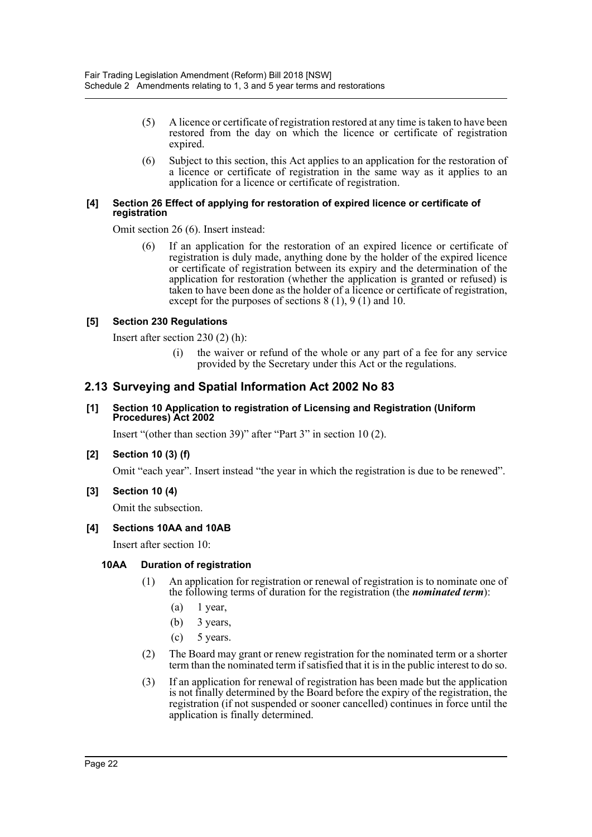- (5) A licence or certificate of registration restored at any time is taken to have been restored from the day on which the licence or certificate of registration expired.
- (6) Subject to this section, this Act applies to an application for the restoration of a licence or certificate of registration in the same way as it applies to an application for a licence or certificate of registration.

#### **[4] Section 26 Effect of applying for restoration of expired licence or certificate of registration**

Omit section 26 (6). Insert instead:

(6) If an application for the restoration of an expired licence or certificate of registration is duly made, anything done by the holder of the expired licence or certificate of registration between its expiry and the determination of the application for restoration (whether the application is granted or refused) is taken to have been done as the holder of a licence or certificate of registration, except for the purposes of sections 8 (1), 9 (1) and 10.

## **[5] Section 230 Regulations**

Insert after section 230 (2) (h):

(i) the waiver or refund of the whole or any part of a fee for any service provided by the Secretary under this Act or the regulations.

## **2.13 Surveying and Spatial Information Act 2002 No 83**

## **[1] Section 10 Application to registration of Licensing and Registration (Uniform Procedures) Act 2002**

Insert "(other than section 39)" after "Part 3" in section 10 (2).

## **[2] Section 10 (3) (f)**

Omit "each year". Insert instead "the year in which the registration is due to be renewed".

## **[3] Section 10 (4)**

Omit the subsection.

## **[4] Sections 10AA and 10AB**

Insert after section 10:

## **10AA Duration of registration**

- (1) An application for registration or renewal of registration is to nominate one of the following terms of duration for the registration (the *nominated term*):
	- $(a)$  1 year,
	- (b) 3 years,
	- $(c)$  5 years.
- (2) The Board may grant or renew registration for the nominated term or a shorter term than the nominated term if satisfied that it is in the public interest to do so.
- (3) If an application for renewal of registration has been made but the application is not finally determined by the Board before the expiry of the registration, the registration (if not suspended or sooner cancelled) continues in force until the application is finally determined.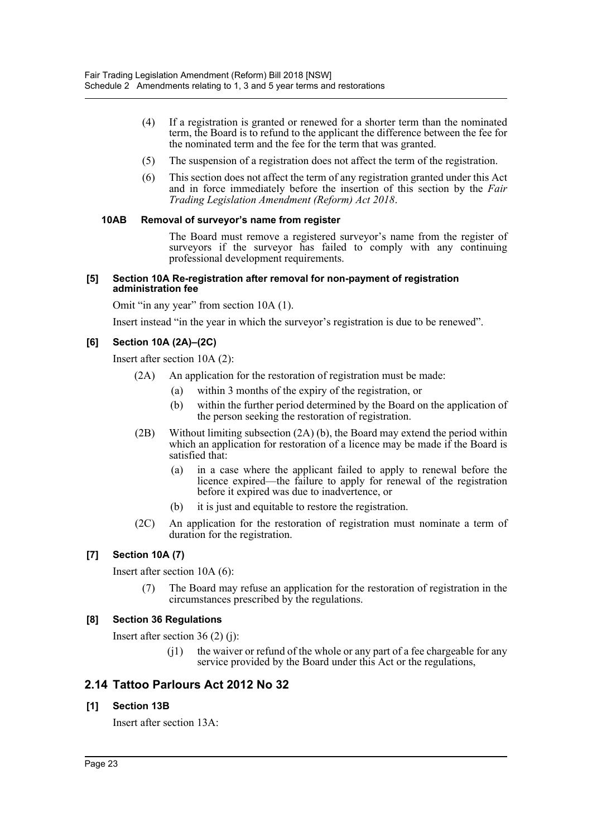- (4) If a registration is granted or renewed for a shorter term than the nominated term, the Board is to refund to the applicant the difference between the fee for the nominated term and the fee for the term that was granted.
- (5) The suspension of a registration does not affect the term of the registration.
- (6) This section does not affect the term of any registration granted under this Act and in force immediately before the insertion of this section by the *Fair Trading Legislation Amendment (Reform) Act 2018*.

## **10AB Removal of surveyor's name from register**

The Board must remove a registered surveyor's name from the register of surveyors if the surveyor has failed to comply with any continuing professional development requirements.

#### **[5] Section 10A Re-registration after removal for non-payment of registration administration fee**

Omit "in any year" from section 10A (1).

Insert instead "in the year in which the surveyor's registration is due to be renewed".

## **[6] Section 10A (2A)–(2C)**

Insert after section 10A (2):

- (2A) An application for the restoration of registration must be made:
	- (a) within 3 months of the expiry of the registration, or
	- (b) within the further period determined by the Board on the application of the person seeking the restoration of registration.
- (2B) Without limiting subsection (2A) (b), the Board may extend the period within which an application for restoration of a licence may be made if the Board is satisfied that:
	- (a) in a case where the applicant failed to apply to renewal before the licence expired—the failure to apply for renewal of the registration before it expired was due to inadvertence, or
	- (b) it is just and equitable to restore the registration.
- (2C) An application for the restoration of registration must nominate a term of duration for the registration.

## **[7] Section 10A (7)**

Insert after section 10A (6):

The Board may refuse an application for the restoration of registration in the circumstances prescribed by the regulations.

## **[8] Section 36 Regulations**

Insert after section 36 (2) (j):

(j1) the waiver or refund of the whole or any part of a fee chargeable for any service provided by the Board under this Act or the regulations,

## **2.14 Tattoo Parlours Act 2012 No 32**

## **[1] Section 13B**

Insert after section 13A: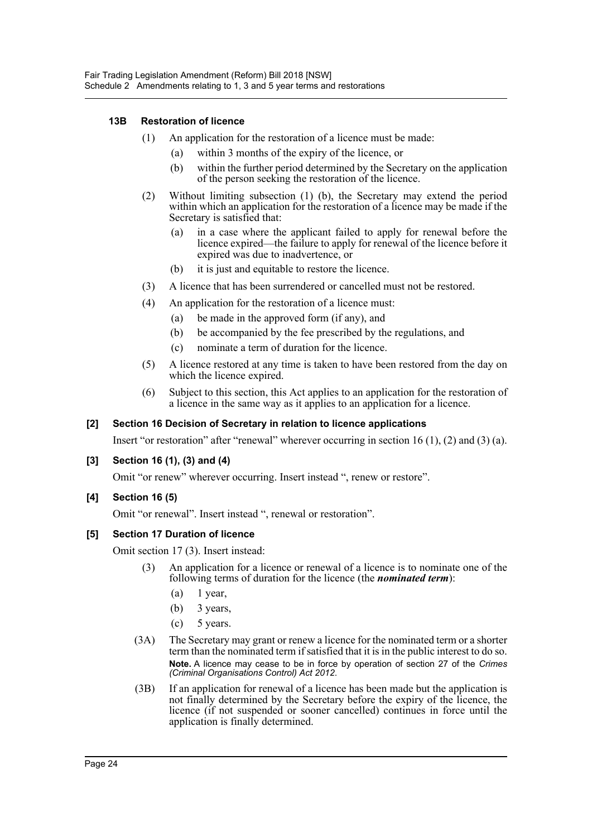## **13B Restoration of licence**

- (1) An application for the restoration of a licence must be made:
	- (a) within 3 months of the expiry of the licence, or
	- (b) within the further period determined by the Secretary on the application of the person seeking the restoration of the licence.
- (2) Without limiting subsection (1) (b), the Secretary may extend the period within which an application for the restoration of a licence may be made if the Secretary is satisfied that:
	- (a) in a case where the applicant failed to apply for renewal before the licence expired—the failure to apply for renewal of the licence before it expired was due to inadvertence, or
	- (b) it is just and equitable to restore the licence.
- (3) A licence that has been surrendered or cancelled must not be restored.
- (4) An application for the restoration of a licence must:
	- (a) be made in the approved form (if any), and
	- (b) be accompanied by the fee prescribed by the regulations, and
	- (c) nominate a term of duration for the licence.
- (5) A licence restored at any time is taken to have been restored from the day on which the licence expired.
- (6) Subject to this section, this Act applies to an application for the restoration of a licence in the same way as it applies to an application for a licence.

## **[2] Section 16 Decision of Secretary in relation to licence applications**

Insert "or restoration" after "renewal" wherever occurring in section 16 (1), (2) and (3) (a).

## **[3] Section 16 (1), (3) and (4)**

Omit "or renew" wherever occurring. Insert instead ", renew or restore".

## **[4] Section 16 (5)**

Omit "or renewal". Insert instead ", renewal or restoration".

## **[5] Section 17 Duration of licence**

Omit section 17 (3). Insert instead:

- (3) An application for a licence or renewal of a licence is to nominate one of the following terms of duration for the licence (the *nominated term*):
	- $(a)$  1 year,
	- (b) 3 years,
	- (c) 5 years.
- (3A) The Secretary may grant or renew a licence for the nominated term or a shorter term than the nominated term if satisfied that it is in the public interest to do so. **Note.** A licence may cease to be in force by operation of section 27 of the *Crimes (Criminal Organisations Control) Act 2012*.
- (3B) If an application for renewal of a licence has been made but the application is not finally determined by the Secretary before the expiry of the licence, the licence (if not suspended or sooner cancelled) continues in force until the application is finally determined.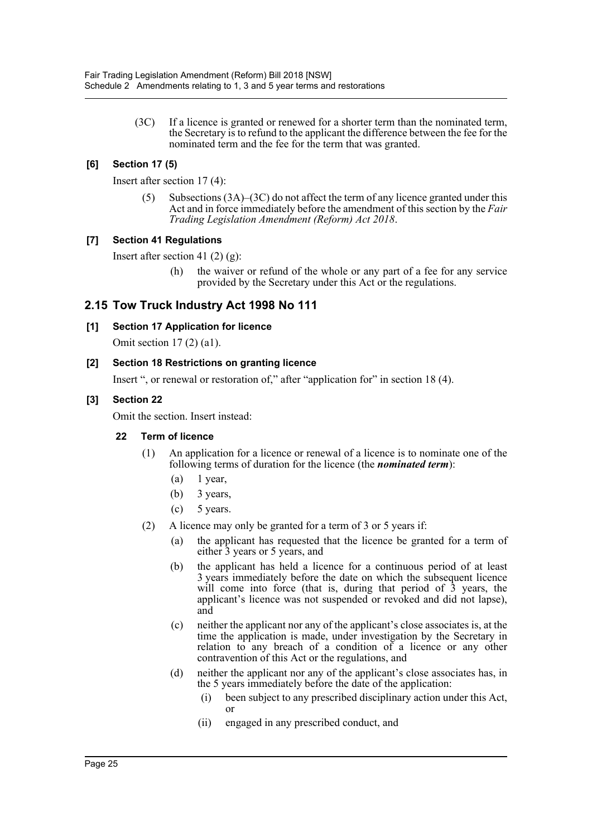(3C) If a licence is granted or renewed for a shorter term than the nominated term, the Secretary is to refund to the applicant the difference between the fee for the nominated term and the fee for the term that was granted.

## **[6] Section 17 (5)**

Insert after section 17 (4):

 $(5)$  Subsections  $(3A)$ – $(3C)$  do not affect the term of any licence granted under this Act and in force immediately before the amendment of this section by the *Fair Trading Legislation Amendment (Reform) Act 2018*.

## **[7] Section 41 Regulations**

Insert after section 41 $(2)$  $(g)$ :

(h) the waiver or refund of the whole or any part of a fee for any service provided by the Secretary under this Act or the regulations.

## **2.15 Tow Truck Industry Act 1998 No 111**

## **[1] Section 17 Application for licence**

Omit section 17 (2) (a1).

## **[2] Section 18 Restrictions on granting licence**

Insert ", or renewal or restoration of," after "application for" in section 18 (4).

## **[3] Section 22**

Omit the section. Insert instead:

## **22 Term of licence**

- (1) An application for a licence or renewal of a licence is to nominate one of the following terms of duration for the licence (the *nominated term*):
	- $(a)$  1 year,
	- (b) 3 years,
	- $(c)$  5 years.
- (2) A licence may only be granted for a term of 3 or 5 years if:
	- (a) the applicant has requested that the licence be granted for a term of either 3 years or 5 years, and
	- (b) the applicant has held a licence for a continuous period of at least 3 years immediately before the date on which the subsequent licence will come into force (that is, during that period of  $\bar{3}$  years, the applicant's licence was not suspended or revoked and did not lapse), and
	- (c) neither the applicant nor any of the applicant's close associates is, at the time the application is made, under investigation by the Secretary in relation to any breach of a condition of a licence or any other contravention of this Act or the regulations, and
	- (d) neither the applicant nor any of the applicant's close associates has, in the 5 years immediately before the date of the application:
		- (i) been subject to any prescribed disciplinary action under this Act, or
		- (ii) engaged in any prescribed conduct, and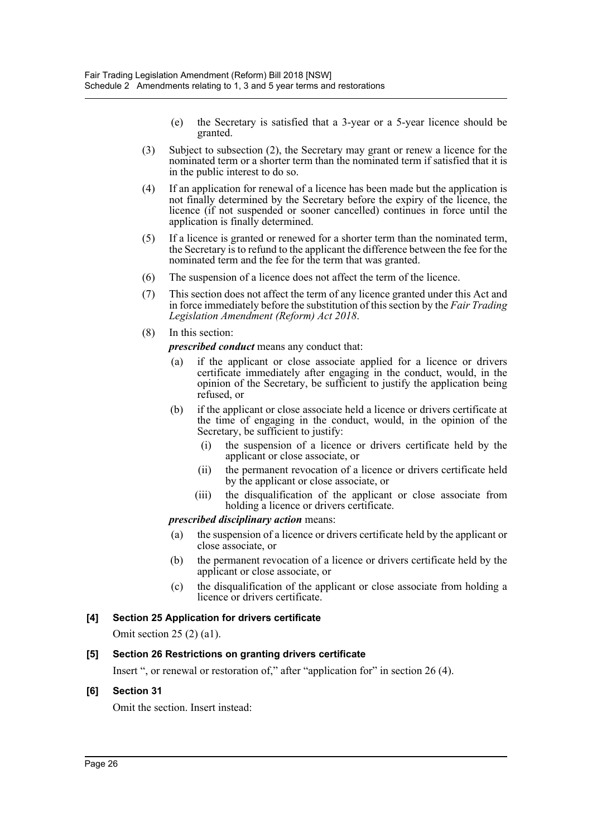- (e) the Secretary is satisfied that a 3-year or a 5-year licence should be granted.
- (3) Subject to subsection (2), the Secretary may grant or renew a licence for the nominated term or a shorter term than the nominated term if satisfied that it is in the public interest to do so.
- (4) If an application for renewal of a licence has been made but the application is not finally determined by the Secretary before the expiry of the licence, the licence (if not suspended or sooner cancelled) continues in force until the application is finally determined.
- (5) If a licence is granted or renewed for a shorter term than the nominated term, the Secretary is to refund to the applicant the difference between the fee for the nominated term and the fee for the term that was granted.
- (6) The suspension of a licence does not affect the term of the licence.
- (7) This section does not affect the term of any licence granted under this Act and in force immediately before the substitution of this section by the *Fair Trading Legislation Amendment (Reform) Act 2018*.
- (8) In this section:

*prescribed conduct* means any conduct that:

- (a) if the applicant or close associate applied for a licence or drivers certificate immediately after engaging in the conduct, would, in the opinion of the Secretary, be sufficient to justify the application being refused, or
- (b) if the applicant or close associate held a licence or drivers certificate at the time of engaging in the conduct, would, in the opinion of the Secretary, be sufficient to justify:
	- (i) the suspension of a licence or drivers certificate held by the applicant or close associate, or
	- (ii) the permanent revocation of a licence or drivers certificate held by the applicant or close associate, or
	- (iii) the disqualification of the applicant or close associate from holding a licence or drivers certificate.

## *prescribed disciplinary action* means:

- (a) the suspension of a licence or drivers certificate held by the applicant or close associate, or
- (b) the permanent revocation of a licence or drivers certificate held by the applicant or close associate, or
- (c) the disqualification of the applicant or close associate from holding a licence or drivers certificate.

## **[4] Section 25 Application for drivers certificate**

Omit section 25 (2) (a1).

## **[5] Section 26 Restrictions on granting drivers certificate**

Insert ", or renewal or restoration of," after "application for" in section 26 (4).

## **[6] Section 31**

Omit the section. Insert instead: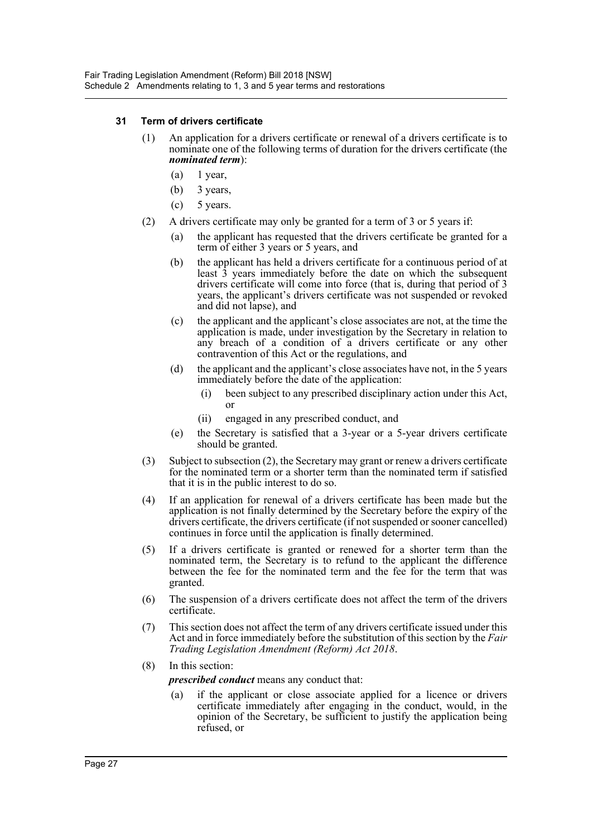## **31 Term of drivers certificate**

- (1) An application for a drivers certificate or renewal of a drivers certificate is to nominate one of the following terms of duration for the drivers certificate (the *nominated term*):
	- $(a)$  1 year,
	- (b) 3 years,
	- $(c)$  5 years.
- (2) A drivers certificate may only be granted for a term of 3 or 5 years if:
	- (a) the applicant has requested that the drivers certificate be granted for a term of either 3 years or 5 years, and
	- (b) the applicant has held a drivers certificate for a continuous period of at least 3 years immediately before the date on which the subsequent drivers certificate will come into force (that is, during that period of 3 years, the applicant's drivers certificate was not suspended or revoked and did not lapse), and
	- (c) the applicant and the applicant's close associates are not, at the time the application is made, under investigation by the Secretary in relation to any breach of a condition of a drivers certificate or any other contravention of this Act or the regulations, and
	- (d) the applicant and the applicant's close associates have not, in the 5 years immediately before the date of the application:
		- (i) been subject to any prescribed disciplinary action under this Act, or
		- (ii) engaged in any prescribed conduct, and
	- (e) the Secretary is satisfied that a 3-year or a 5-year drivers certificate should be granted.
- (3) Subject to subsection (2), the Secretary may grant or renew a drivers certificate for the nominated term or a shorter term than the nominated term if satisfied that it is in the public interest to do so.
- (4) If an application for renewal of a drivers certificate has been made but the application is not finally determined by the Secretary before the expiry of the drivers certificate, the drivers certificate (if not suspended or sooner cancelled) continues in force until the application is finally determined.
- (5) If a drivers certificate is granted or renewed for a shorter term than the nominated term, the Secretary is to refund to the applicant the difference between the fee for the nominated term and the fee for the term that was granted.
- (6) The suspension of a drivers certificate does not affect the term of the drivers certificate.
- (7) This section does not affect the term of any drivers certificate issued under this Act and in force immediately before the substitution of this section by the *Fair Trading Legislation Amendment (Reform) Act 2018*.
- (8) In this section:

*prescribed conduct* means any conduct that:

(a) if the applicant or close associate applied for a licence or drivers certificate immediately after engaging in the conduct, would, in the opinion of the Secretary, be sufficient to justify the application being refused, or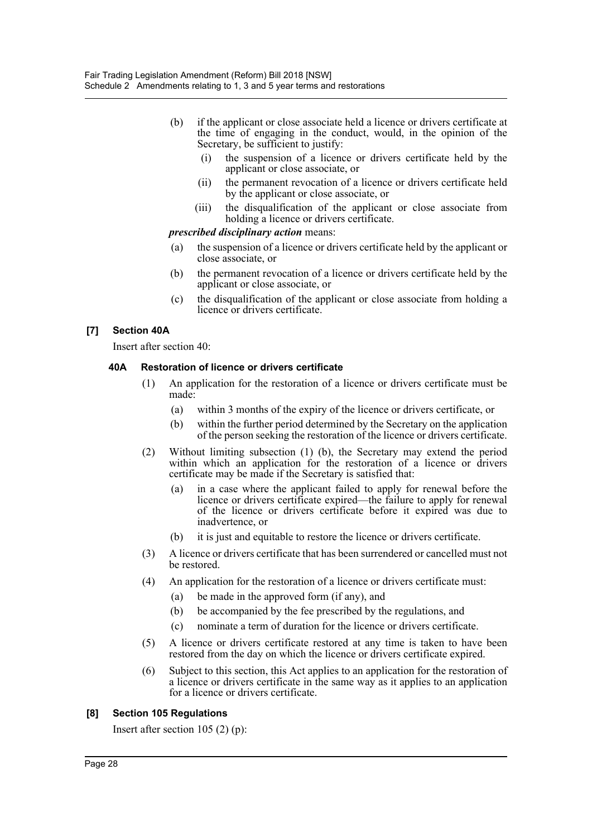- (b) if the applicant or close associate held a licence or drivers certificate at the time of engaging in the conduct, would, in the opinion of the Secretary, be sufficient to justify:
	- (i) the suspension of a licence or drivers certificate held by the applicant or close associate, or
	- (ii) the permanent revocation of a licence or drivers certificate held by the applicant or close associate, or
	- (iii) the disqualification of the applicant or close associate from holding a licence or drivers certificate.

## *prescribed disciplinary action* means:

- (a) the suspension of a licence or drivers certificate held by the applicant or close associate, or
- (b) the permanent revocation of a licence or drivers certificate held by the applicant or close associate, or
- (c) the disqualification of the applicant or close associate from holding a licence or drivers certificate.

## **[7] Section 40A**

Insert after section 40:

## **40A Restoration of licence or drivers certificate**

- (1) An application for the restoration of a licence or drivers certificate must be made:
	- (a) within 3 months of the expiry of the licence or drivers certificate, or
	- (b) within the further period determined by the Secretary on the application of the person seeking the restoration of the licence or drivers certificate.
- (2) Without limiting subsection (1) (b), the Secretary may extend the period within which an application for the restoration of a licence or drivers certificate may be made if the Secretary is satisfied that:
	- (a) in a case where the applicant failed to apply for renewal before the licence or drivers certificate expired—the failure to apply for renewal of the licence or drivers certificate before it expired was due to inadvertence, or
	- (b) it is just and equitable to restore the licence or drivers certificate.
- (3) A licence or drivers certificate that has been surrendered or cancelled must not be restored.
- (4) An application for the restoration of a licence or drivers certificate must:
	- (a) be made in the approved form (if any), and
	- (b) be accompanied by the fee prescribed by the regulations, and
	- (c) nominate a term of duration for the licence or drivers certificate.
- (5) A licence or drivers certificate restored at any time is taken to have been restored from the day on which the licence or drivers certificate expired.
- (6) Subject to this section, this Act applies to an application for the restoration of a licence or drivers certificate in the same way as it applies to an application for a licence or drivers certificate.

## **[8] Section 105 Regulations**

Insert after section 105 (2) (p):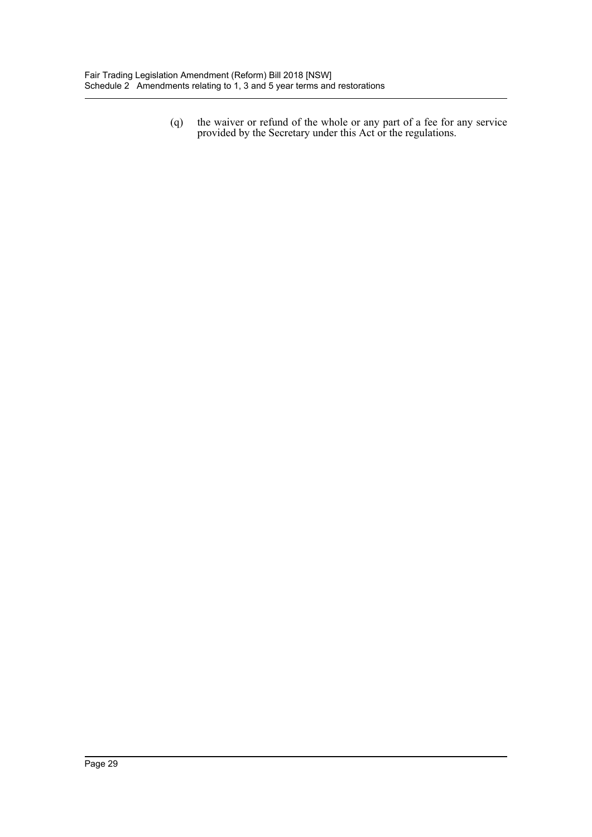(q) the waiver or refund of the whole or any part of a fee for any service provided by the Secretary under this Act or the regulations.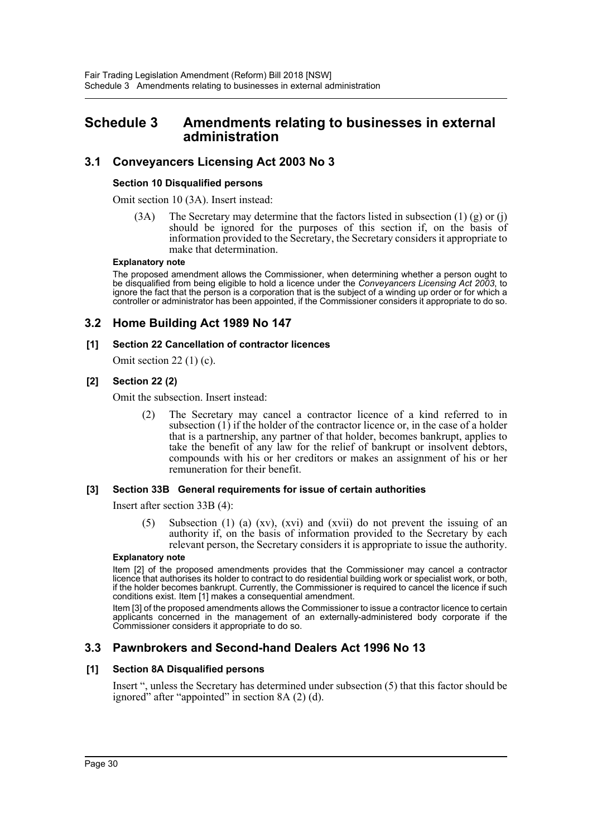## <span id="page-30-0"></span>**Schedule 3 Amendments relating to businesses in external administration**

## **3.1 Conveyancers Licensing Act 2003 No 3**

#### **Section 10 Disqualified persons**

Omit section 10 (3A). Insert instead:

(3A) The Secretary may determine that the factors listed in subsection  $(1)$  (g) or (j) should be ignored for the purposes of this section if, on the basis of information provided to the Secretary, the Secretary considers it appropriate to make that determination.

#### **Explanatory note**

The proposed amendment allows the Commissioner, when determining whether a person ought to be disqualified from being eligible to hold a licence under the *Conveyancers Licensing Act 2003*, to ignore the fact that the person is a corporation that is the subject of a winding up order or for which a controller or administrator has been appointed, if the Commissioner considers it appropriate to do so.

## **3.2 Home Building Act 1989 No 147**

## **[1] Section 22 Cancellation of contractor licences**

Omit section  $22(1)(c)$ .

## **[2] Section 22 (2)**

Omit the subsection. Insert instead:

(2) The Secretary may cancel a contractor licence of a kind referred to in subsection  $(1)$  if the holder of the contractor licence or, in the case of a holder that is a partnership, any partner of that holder, becomes bankrupt, applies to take the benefit of any law for the relief of bankrupt or insolvent debtors, compounds with his or her creditors or makes an assignment of his or her remuneration for their benefit.

## **[3] Section 33B General requirements for issue of certain authorities**

Insert after section 33B (4):

(5) Subsection (1) (a) (xv), (xvi) and (xvii) do not prevent the issuing of an authority if, on the basis of information provided to the Secretary by each relevant person, the Secretary considers it is appropriate to issue the authority.

#### **Explanatory note**

Item [2] of the proposed amendments provides that the Commissioner may cancel a contractor licence that authorises its holder to contract to do residential building work or specialist work, or both, if the holder becomes bankrupt. Currently, the Commissioner is required to cancel the licence if such conditions exist. Item [1] makes a consequential amendment.

Item [3] of the proposed amendments allows the Commissioner to issue a contractor licence to certain applicants concerned in the management of an externally-administered body corporate if the Commissioner considers it appropriate to do so.

## **3.3 Pawnbrokers and Second-hand Dealers Act 1996 No 13**

## **[1] Section 8A Disqualified persons**

Insert ", unless the Secretary has determined under subsection (5) that this factor should be ignored" after "appointed" in section 8A (2) (d).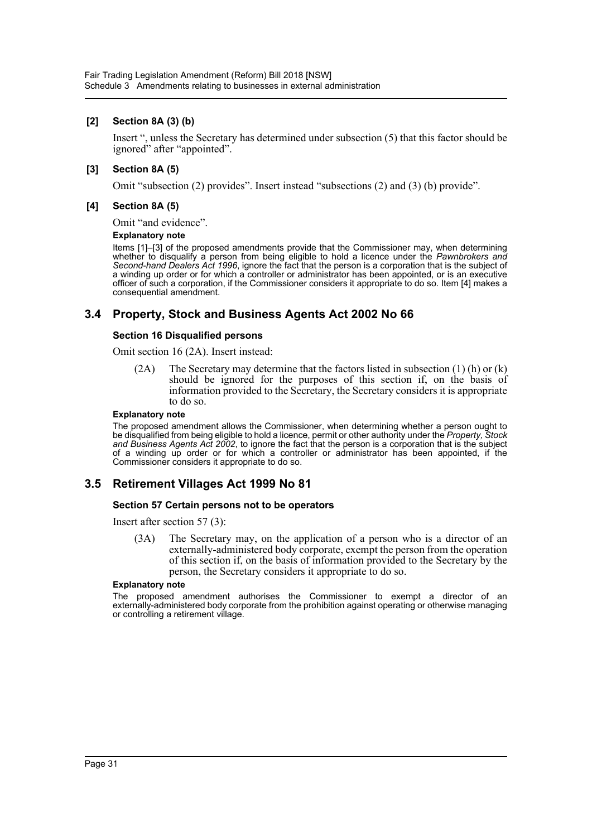## **[2] Section 8A (3) (b)**

Insert ", unless the Secretary has determined under subsection (5) that this factor should be ignored" after "appointed".

## **[3] Section 8A (5)**

Omit "subsection (2) provides". Insert instead "subsections (2) and (3) (b) provide".

### **[4] Section 8A (5)**

Omit "and evidence".

#### **Explanatory note**

Items [1]–[3] of the proposed amendments provide that the Commissioner may, when determining whether to disqualify a person from being eligible to hold a licence under the *Pawnbrokers and Second-hand Dealers Act 1996*, ignore the fact that the person is a corporation that is the subject of a winding up order or for which a controller or administrator has been appointed, or is an executive officer of such a corporation, if the Commissioner considers it appropriate to do so. Item [4] makes a consequential amendment.

## **3.4 Property, Stock and Business Agents Act 2002 No 66**

## **Section 16 Disqualified persons**

Omit section 16 (2A). Insert instead:

(2A) The Secretary may determine that the factors listed in subsection (1) (h) or (k) should be ignored for the purposes of this section if, on the basis of information provided to the Secretary, the Secretary considers it is appropriate to do so.

#### **Explanatory note**

The proposed amendment allows the Commissioner, when determining whether a person ought to be disqualified from being eligible to hold a licence, permit or other authority under the *Property, Stock and Business Agents Act 2002*, to ignore the fact that the person is a corporation that is the subject of a winding up order or for which a controller or administrator has been appointed, if the Commissioner considers it appropriate to do so.

## **3.5 Retirement Villages Act 1999 No 81**

#### **Section 57 Certain persons not to be operators**

Insert after section 57 (3):

(3A) The Secretary may, on the application of a person who is a director of an externally-administered body corporate, exempt the person from the operation of this section if, on the basis of information provided to the Secretary by the person, the Secretary considers it appropriate to do so.

#### **Explanatory note**

The proposed amendment authorises the Commissioner to exempt a director of an externally-administered body corporate from the prohibition against operating or otherwise managing or controlling a retirement village.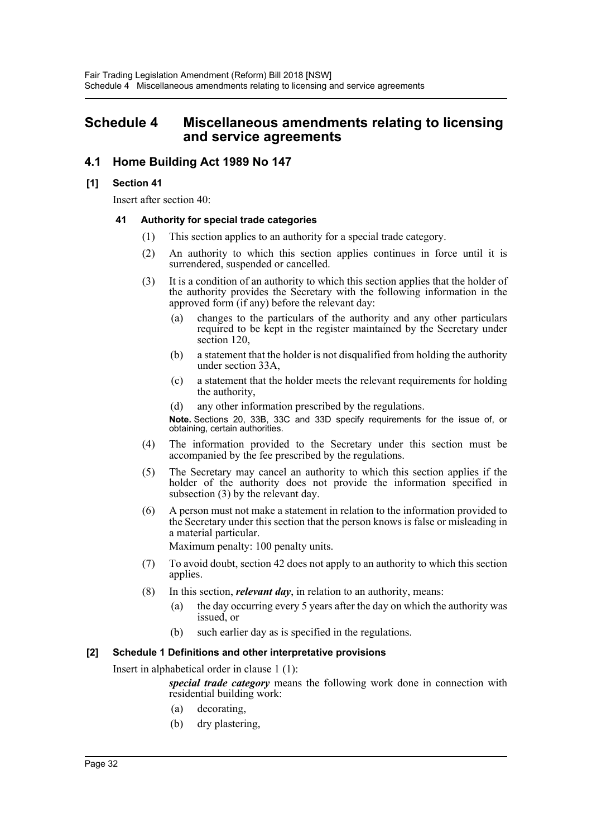## <span id="page-32-0"></span>**Schedule 4 Miscellaneous amendments relating to licensing and service agreements**

## **4.1 Home Building Act 1989 No 147**

## **[1] Section 41**

Insert after section 40:

## **41 Authority for special trade categories**

- (1) This section applies to an authority for a special trade category.
- (2) An authority to which this section applies continues in force until it is surrendered, suspended or cancelled.
- (3) It is a condition of an authority to which this section applies that the holder of the authority provides the Secretary with the following information in the approved form (if any) before the relevant day:
	- (a) changes to the particulars of the authority and any other particulars required to be kept in the register maintained by the Secretary under section 120,
	- (b) a statement that the holder is not disqualified from holding the authority under section 33A,
	- (c) a statement that the holder meets the relevant requirements for holding the authority,
	- (d) any other information prescribed by the regulations.

**Note.** Sections 20, 33B, 33C and 33D specify requirements for the issue of, or obtaining, certain authorities.

- (4) The information provided to the Secretary under this section must be accompanied by the fee prescribed by the regulations.
- (5) The Secretary may cancel an authority to which this section applies if the holder of the authority does not provide the information specified in subsection (3) by the relevant day.
- (6) A person must not make a statement in relation to the information provided to the Secretary under this section that the person knows is false or misleading in a material particular.

Maximum penalty: 100 penalty units.

- (7) To avoid doubt, section 42 does not apply to an authority to which this section applies.
- (8) In this section, *relevant day*, in relation to an authority, means:
	- (a) the day occurring every 5 years after the day on which the authority was issued, or
	- (b) such earlier day as is specified in the regulations.

## **[2] Schedule 1 Definitions and other interpretative provisions**

Insert in alphabetical order in clause 1 (1):

*special trade category* means the following work done in connection with residential building work:

- (a) decorating,
- (b) dry plastering,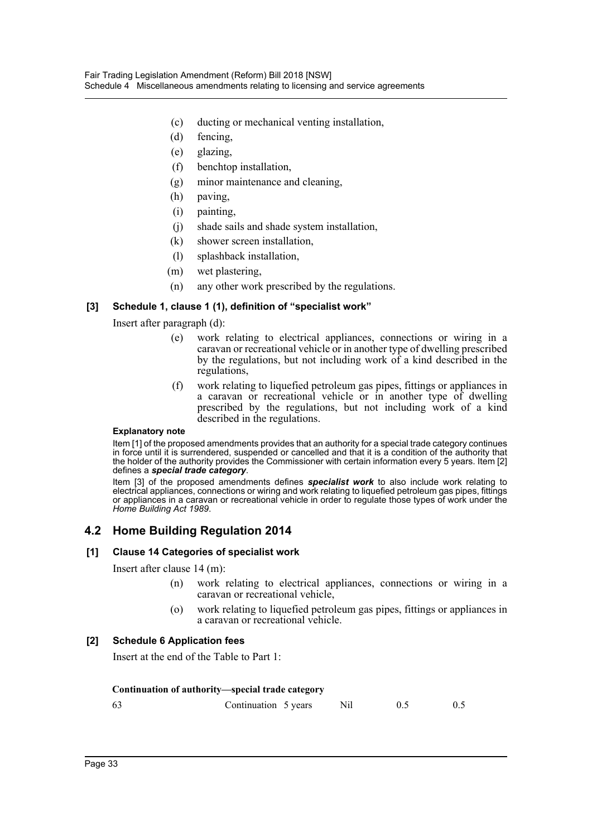- (c) ducting or mechanical venting installation,
- (d) fencing,
- (e) glazing,
- (f) benchtop installation,
- (g) minor maintenance and cleaning,
- (h) paving,
- (i) painting,
- (j) shade sails and shade system installation,
- (k) shower screen installation,
- (l) splashback installation,
- (m) wet plastering,
- (n) any other work prescribed by the regulations.

## **[3] Schedule 1, clause 1 (1), definition of "specialist work"**

## Insert after paragraph (d):

- (e) work relating to electrical appliances, connections or wiring in a caravan or recreational vehicle or in another type of dwelling prescribed by the regulations, but not including work of a kind described in the regulations,
- (f) work relating to liquefied petroleum gas pipes, fittings or appliances in a caravan or recreational vehicle or in another type of dwelling prescribed by the regulations, but not including work of a kind described in the regulations.

#### **Explanatory note**

Item [1] of the proposed amendments provides that an authority for a special trade category continues in force until it is surrendered, suspended or cancelled and that it is a condition of the authority that the holder of the authority provides the Commissioner with certain information every 5 years. Item [2] defines a *special trade category*.

Item [3] of the proposed amendments defines *specialist work* to also include work relating to electrical appliances, connections or wiring and work relating to liquefied petroleum gas pipes, fittings or appliances in a caravan or recreational vehicle in order to regulate those types of work under the *Home Building Act 1989*.

## **4.2 Home Building Regulation 2014**

## **[1] Clause 14 Categories of specialist work**

Insert after clause 14 (m):

- (n) work relating to electrical appliances, connections or wiring in a caravan or recreational vehicle,
- (o) work relating to liquefied petroleum gas pipes, fittings or appliances in a caravan or recreational vehicle.

## **[2] Schedule 6 Application fees**

Insert at the end of the Table to Part 1:

#### **Continuation of authority—special trade category**

| -63 | Continuation 5 years Nil |  |  |
|-----|--------------------------|--|--|
|     |                          |  |  |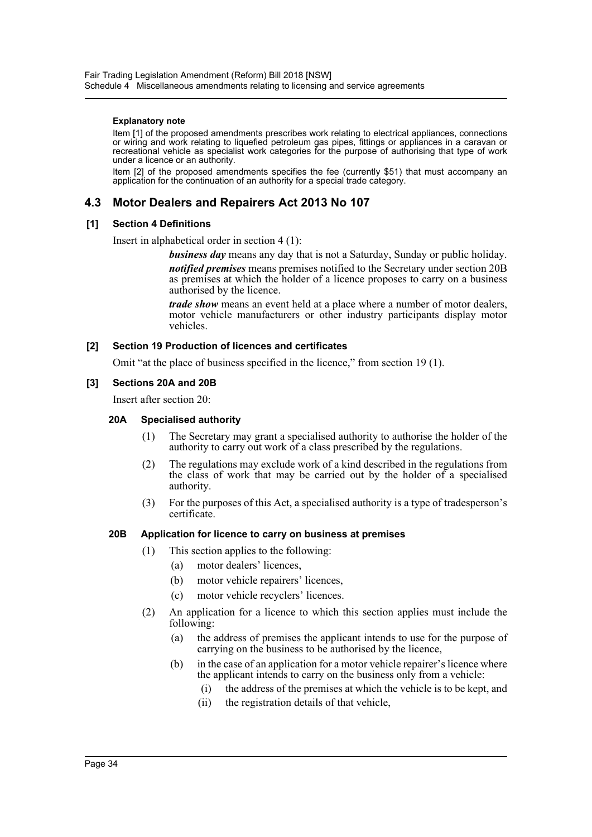#### **Explanatory note**

Item [1] of the proposed amendments prescribes work relating to electrical appliances, connections or wiring and work relating to liquefied petroleum gas pipes, fittings or appliances in a caravan or recreational vehicle as specialist work categories for the purpose of authorising that type of work under a licence or an authority.

Item [2] of the proposed amendments specifies the fee (currently \$51) that must accompany an application for the continuation of an authority for a special trade category.

## **4.3 Motor Dealers and Repairers Act 2013 No 107**

## **[1] Section 4 Definitions**

Insert in alphabetical order in section 4 (1):

*business day* means any day that is not a Saturday, Sunday or public holiday.

*notified premises* means premises notified to the Secretary under section 20B as premises at which the holder of a licence proposes to carry on a business authorised by the licence.

*trade show* means an event held at a place where a number of motor dealers, motor vehicle manufacturers or other industry participants display motor vehicles.

## **[2] Section 19 Production of licences and certificates**

Omit "at the place of business specified in the licence," from section 19 (1).

## **[3] Sections 20A and 20B**

Insert after section 20:

### **20A Specialised authority**

- (1) The Secretary may grant a specialised authority to authorise the holder of the authority to carry out work of a class prescribed by the regulations.
- (2) The regulations may exclude work of a kind described in the regulations from the class of work that may be carried out by the holder of a specialised authority.
- (3) For the purposes of this Act, a specialised authority is a type of tradesperson's certificate.

## **20B Application for licence to carry on business at premises**

- (1) This section applies to the following:
	- (a) motor dealers' licences,
	- (b) motor vehicle repairers' licences,
	- (c) motor vehicle recyclers' licences.
- (2) An application for a licence to which this section applies must include the following:
	- (a) the address of premises the applicant intends to use for the purpose of carrying on the business to be authorised by the licence,
	- (b) in the case of an application for a motor vehicle repairer's licence where the applicant intends to carry on the business only from a vehicle:
		- (i) the address of the premises at which the vehicle is to be kept, and
		- (ii) the registration details of that vehicle,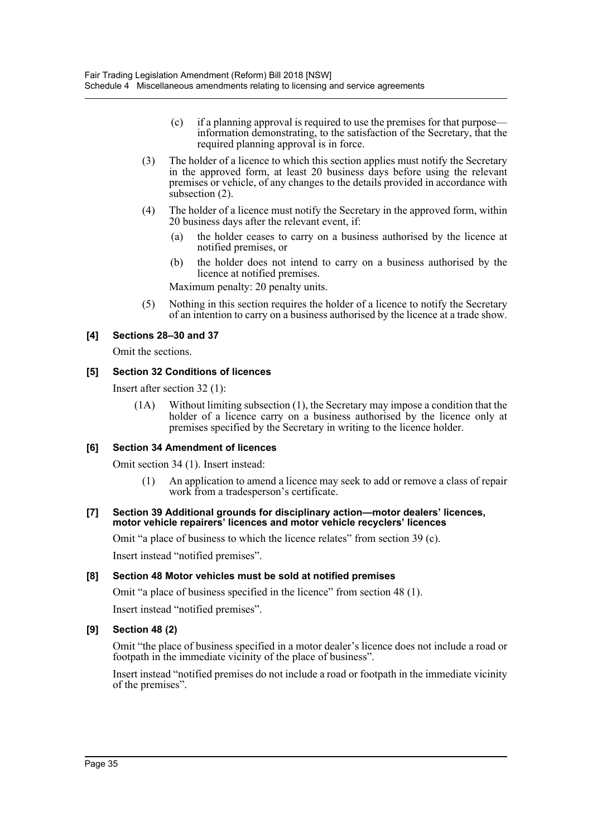- (c) if a planning approval is required to use the premises for that purpose information demonstrating, to the satisfaction of the Secretary, that the required planning approval is in force.
- (3) The holder of a licence to which this section applies must notify the Secretary in the approved form, at least 20 business days before using the relevant premises or vehicle, of any changes to the details provided in accordance with subsection (2).
- (4) The holder of a licence must notify the Secretary in the approved form, within 20 business days after the relevant event, if:
	- (a) the holder ceases to carry on a business authorised by the licence at notified premises, or
	- (b) the holder does not intend to carry on a business authorised by the licence at notified premises.

Maximum penalty: 20 penalty units.

(5) Nothing in this section requires the holder of a licence to notify the Secretary of an intention to carry on a business authorised by the licence at a trade show.

## **[4] Sections 28–30 and 37**

Omit the sections.

## **[5] Section 32 Conditions of licences**

Insert after section 32 (1):

(1A) Without limiting subsection (1), the Secretary may impose a condition that the holder of a licence carry on a business authorised by the licence only at premises specified by the Secretary in writing to the licence holder.

## **[6] Section 34 Amendment of licences**

Omit section 34 (1). Insert instead:

(1) An application to amend a licence may seek to add or remove a class of repair work from a tradesperson's certificate.

#### **[7] Section 39 Additional grounds for disciplinary action—motor dealers' licences, motor vehicle repairers' licences and motor vehicle recyclers' licences**

Omit "a place of business to which the licence relates" from section 39 (c).

Insert instead "notified premises".

## **[8] Section 48 Motor vehicles must be sold at notified premises**

Omit "a place of business specified in the licence" from section 48 (1).

Insert instead "notified premises".

## **[9] Section 48 (2)**

Omit "the place of business specified in a motor dealer's licence does not include a road or footpath in the immediate vicinity of the place of business".

Insert instead "notified premises do not include a road or footpath in the immediate vicinity of the premises".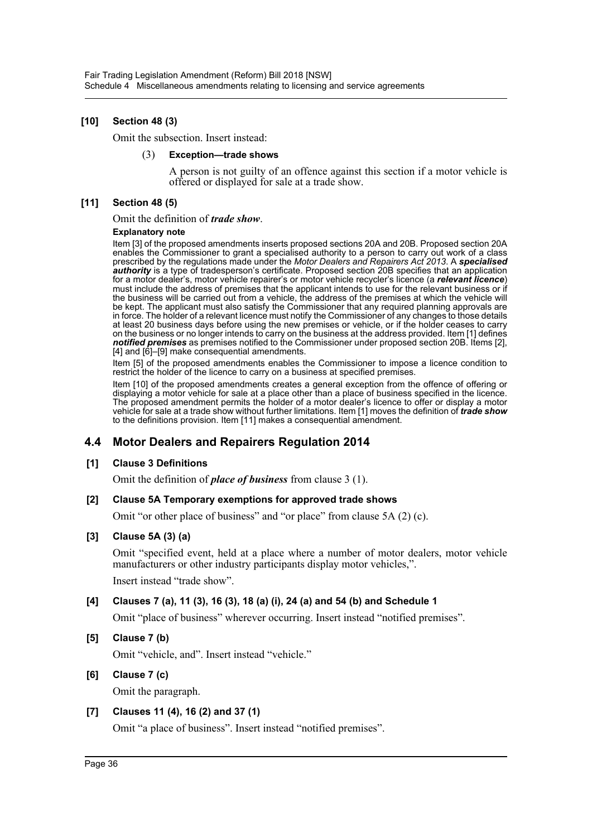## **[10] Section 48 (3)**

Omit the subsection. Insert instead:

#### (3) **Exception—trade shows**

A person is not guilty of an offence against this section if a motor vehicle is offered or displayed for sale at a trade show.

## **[11] Section 48 (5)**

Omit the definition of *trade show*.

#### **Explanatory note**

Item [3] of the proposed amendments inserts proposed sections 20A and 20B. Proposed section 20A enables the Commissioner to grant a specialised authority to a person to carry out work of a class prescribed by the regulations made under the *Motor Dealers and Repairers Act 2013*. A *specialised authority* is a type of tradesperson's certificate. Proposed section 20B specifies that an application for a motor dealer's, motor vehicle repairer's or motor vehicle recycler's licence (a *relevant licence*) must include the address of premises that the applicant intends to use for the relevant business or if the business will be carried out from a vehicle, the address of the premises at which the vehicle will be kept. The applicant must also satisfy the Commissioner that any required planning approvals are in force. The holder of a relevant licence must notify the Commissioner of any changes to those details at least 20 business days before using the new premises or vehicle, or if the holder ceases to carry on the business or no longer intends to carry on the business at the address provided. Item [1] defines *notified premises* as premises notified to the Commissioner under proposed section 20B. Items [2], [4] and [6]–[9] make consequential amendments.

Item [5] of the proposed amendments enables the Commissioner to impose a licence condition to restrict the holder of the licence to carry on a business at specified premises.

Item [10] of the proposed amendments creates a general exception from the offence of offering or displaying a motor vehicle for sale at a place other than a place of business specified in the licence. The proposed amendment permits the holder of a motor dealer's licence to offer or display a motor vehicle for sale at a trade show without further limitations. Item [1] moves the definition of *trade show* to the definitions provision. Item [11] makes a consequential amendment.

## **4.4 Motor Dealers and Repairers Regulation 2014**

## **[1] Clause 3 Definitions**

Omit the definition of *place of business* from clause 3 (1).

## **[2] Clause 5A Temporary exemptions for approved trade shows**

Omit "or other place of business" and "or place" from clause 5A (2) (c).

## **[3] Clause 5A (3) (a)**

Omit "specified event, held at a place where a number of motor dealers, motor vehicle manufacturers or other industry participants display motor vehicles,".

Insert instead "trade show".

## **[4] Clauses 7 (a), 11 (3), 16 (3), 18 (a) (i), 24 (a) and 54 (b) and Schedule 1**

Omit "place of business" wherever occurring. Insert instead "notified premises".

**[5] Clause 7 (b)**

Omit "vehicle, and". Insert instead "vehicle."

## **[6] Clause 7 (c)**

Omit the paragraph.

## **[7] Clauses 11 (4), 16 (2) and 37 (1)**

Omit "a place of business". Insert instead "notified premises".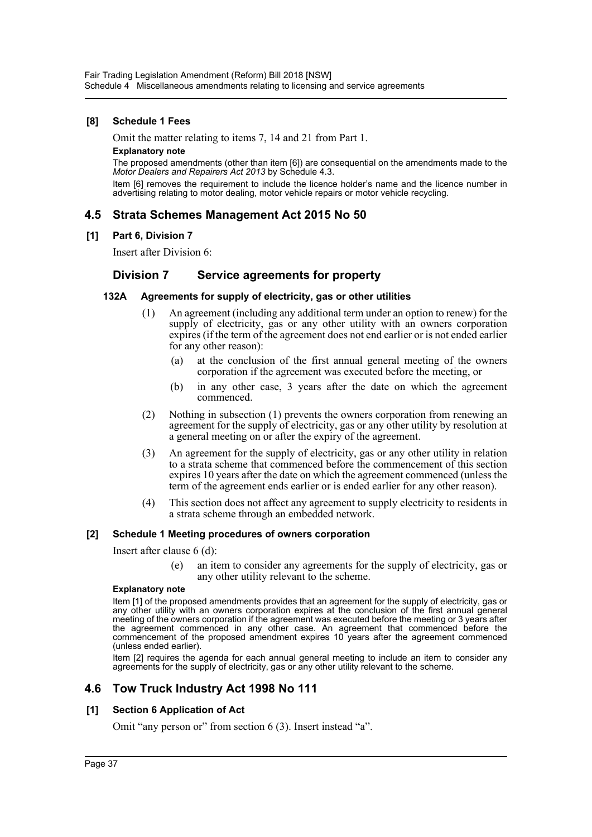## **[8] Schedule 1 Fees**

Omit the matter relating to items 7, 14 and 21 from Part 1.

#### **Explanatory note**

The proposed amendments (other than item [6]) are consequential on the amendments made to the *Motor Dealers and Repairers Act 2013* by Schedule 4.3.

Item [6] removes the requirement to include the licence holder's name and the licence number in advertising relating to motor dealing, motor vehicle repairs or motor vehicle recycling.

## **4.5 Strata Schemes Management Act 2015 No 50**

#### **[1] Part 6, Division 7**

Insert after Division 6:

## **Division 7 Service agreements for property**

#### **132A Agreements for supply of electricity, gas or other utilities**

- (1) An agreement (including any additional term under an option to renew) for the supply of electricity, gas or any other utility with an owners corporation expires (if the term of the agreement does not end earlier or is not ended earlier for any other reason):
	- (a) at the conclusion of the first annual general meeting of the owners corporation if the agreement was executed before the meeting, or
	- (b) in any other case, 3 years after the date on which the agreement commenced.
- (2) Nothing in subsection (1) prevents the owners corporation from renewing an agreement for the supply of electricity, gas or any other utility by resolution at a general meeting on or after the expiry of the agreement.
- (3) An agreement for the supply of electricity, gas or any other utility in relation to a strata scheme that commenced before the commencement of this section expires 10 years after the date on which the agreement commenced (unless the term of the agreement ends earlier or is ended earlier for any other reason).
- (4) This section does not affect any agreement to supply electricity to residents in a strata scheme through an embedded network.

#### **[2] Schedule 1 Meeting procedures of owners corporation**

Insert after clause 6 (d):

(e) an item to consider any agreements for the supply of electricity, gas or any other utility relevant to the scheme.

#### **Explanatory note**

Item [1] of the proposed amendments provides that an agreement for the supply of electricity, gas or any other utility with an owners corporation expires at the conclusion of the first annual general meeting of the owners corporation if the agreement was executed before the meeting or 3 years after the agreement commenced in any other case. An agreement that commenced before the commencement of the proposed amendment expires 10 years after the agreement commenced (unless ended earlier).

Item [2] requires the agenda for each annual general meeting to include an item to consider any agreements for the supply of electricity, gas or any other utility relevant to the scheme.

## **4.6 Tow Truck Industry Act 1998 No 111**

## **[1] Section 6 Application of Act**

Omit "any person or" from section 6 (3). Insert instead "a".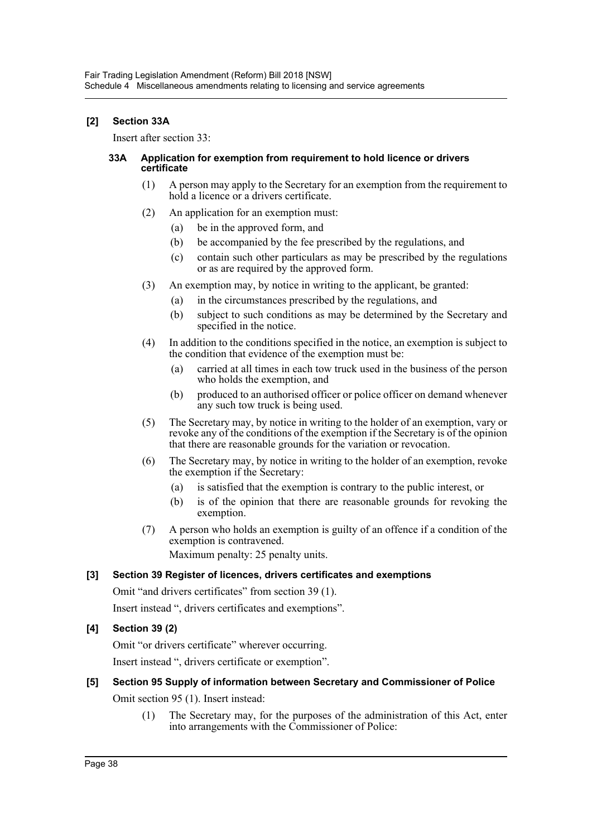## **[2] Section 33A**

Insert after section 33:

### **33A Application for exemption from requirement to hold licence or drivers certificate**

- (1) A person may apply to the Secretary for an exemption from the requirement to hold a licence or a drivers certificate.
- (2) An application for an exemption must:
	- (a) be in the approved form, and
	- (b) be accompanied by the fee prescribed by the regulations, and
	- (c) contain such other particulars as may be prescribed by the regulations or as are required by the approved form.
- (3) An exemption may, by notice in writing to the applicant, be granted:
	- (a) in the circumstances prescribed by the regulations, and
	- (b) subject to such conditions as may be determined by the Secretary and specified in the notice.
- (4) In addition to the conditions specified in the notice, an exemption is subject to the condition that evidence of the exemption must be:
	- (a) carried at all times in each tow truck used in the business of the person who holds the exemption, and
	- (b) produced to an authorised officer or police officer on demand whenever any such tow truck is being used.
- (5) The Secretary may, by notice in writing to the holder of an exemption, vary or revoke any of the conditions of the exemption if the Secretary is of the opinion that there are reasonable grounds for the variation or revocation.
- (6) The Secretary may, by notice in writing to the holder of an exemption, revoke the exemption if the Secretary:
	- (a) is satisfied that the exemption is contrary to the public interest, or
	- (b) is of the opinion that there are reasonable grounds for revoking the exemption.
- (7) A person who holds an exemption is guilty of an offence if a condition of the exemption is contravened.

Maximum penalty: 25 penalty units.

## **[3] Section 39 Register of licences, drivers certificates and exemptions**

Omit "and drivers certificates" from section 39 (1).

Insert instead ", drivers certificates and exemptions".

## **[4] Section 39 (2)**

Omit "or drivers certificate" wherever occurring.

Insert instead ", drivers certificate or exemption".

## **[5] Section 95 Supply of information between Secretary and Commissioner of Police**

Omit section 95 (1). Insert instead:

(1) The Secretary may, for the purposes of the administration of this Act, enter into arrangements with the Commissioner of Police: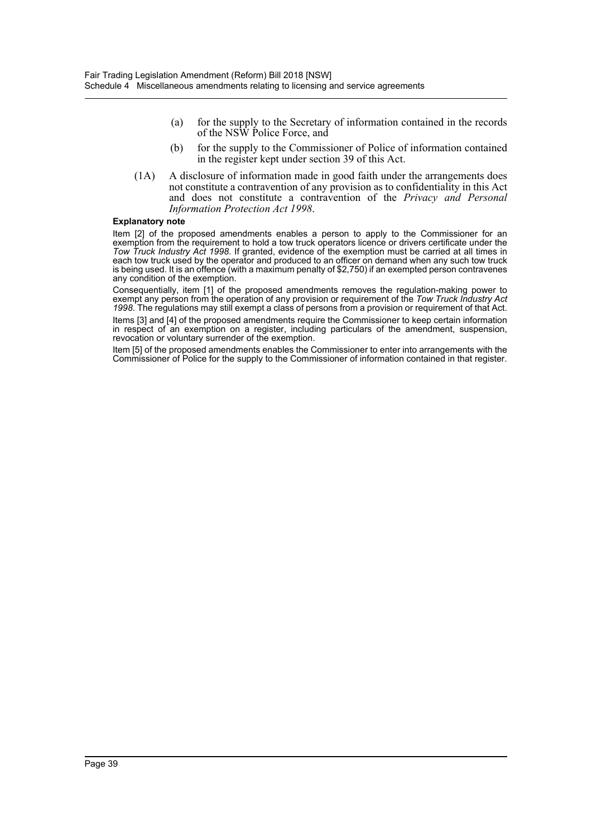- (a) for the supply to the Secretary of information contained in the records of the NSW Police Force, and
- (b) for the supply to the Commissioner of Police of information contained in the register kept under section 39 of this Act.
- (1A) A disclosure of information made in good faith under the arrangements does not constitute a contravention of any provision as to confidentiality in this Act and does not constitute a contravention of the *Privacy and Personal Information Protection Act 1998*.

#### **Explanatory note**

Item [2] of the proposed amendments enables a person to apply to the Commissioner for an exemption from the requirement to hold a tow truck operators licence or drivers certificate under the *Tow Truck Industry Act 1998*. If granted, evidence of the exemption must be carried at all times in each tow truck used by the operator and produced to an officer on demand when any such tow truck is being used. It is an offence (with a maximum penalty of \$2,750) if an exempted person contravenes any condition of the exemption.

Consequentially, item [1] of the proposed amendments removes the regulation-making power to exempt any person from the operation of any provision or requirement of the *Tow Truck Industry Act 1998*. The regulations may still exempt a class of persons from a provision or requirement of that Act. Items [3] and [4] of the proposed amendments require the Commissioner to keep certain information

in respect of an exemption on a register, including particulars of the amendment, suspension, revocation or voluntary surrender of the exemption.

Item [5] of the proposed amendments enables the Commissioner to enter into arrangements with the Commissioner of Police for the supply to the Commissioner of information contained in that register.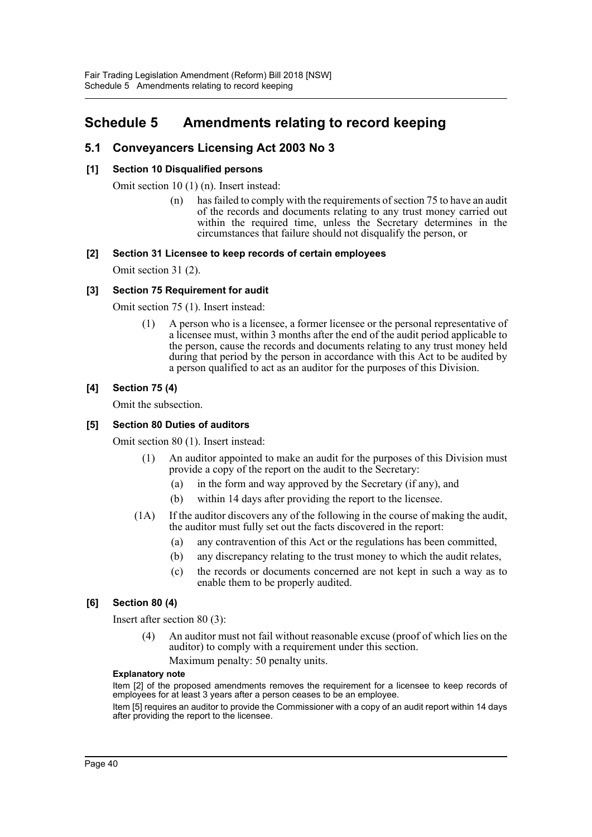## <span id="page-40-0"></span>**Schedule 5 Amendments relating to record keeping**

## **5.1 Conveyancers Licensing Act 2003 No 3**

## **[1] Section 10 Disqualified persons**

Omit section 10 (1) (n). Insert instead:

(n) has failed to comply with the requirements of section 75 to have an audit of the records and documents relating to any trust money carried out within the required time, unless the Secretary determines in the circumstances that failure should not disqualify the person, or

## **[2] Section 31 Licensee to keep records of certain employees**

Omit section 31 (2).

## **[3] Section 75 Requirement for audit**

Omit section 75 (1). Insert instead:

(1) A person who is a licensee, a former licensee or the personal representative of a licensee must, within 3 months after the end of the audit period applicable to the person, cause the records and documents relating to any trust money held during that period by the person in accordance with this Act to be audited by a person qualified to act as an auditor for the purposes of this Division.

## **[4] Section 75 (4)**

Omit the subsection.

## **[5] Section 80 Duties of auditors**

Omit section 80 (1). Insert instead:

- (1) An auditor appointed to make an audit for the purposes of this Division must provide a copy of the report on the audit to the Secretary:
	- (a) in the form and way approved by the Secretary (if any), and
	- (b) within 14 days after providing the report to the licensee.
- (1A) If the auditor discovers any of the following in the course of making the audit, the auditor must fully set out the facts discovered in the report:
	- (a) any contravention of this Act or the regulations has been committed,
	- (b) any discrepancy relating to the trust money to which the audit relates,
	- (c) the records or documents concerned are not kept in such a way as to enable them to be properly audited.

## **[6] Section 80 (4)**

Insert after section 80 (3):

(4) An auditor must not fail without reasonable excuse (proof of which lies on the auditor) to comply with a requirement under this section.

Maximum penalty: 50 penalty units.

#### **Explanatory note**

Item [2] of the proposed amendments removes the requirement for a licensee to keep records of employees for at least 3 years after a person ceases to be an employee.

Item [5] requires an auditor to provide the Commissioner with a copy of an audit report within 14 days after providing the report to the licensee.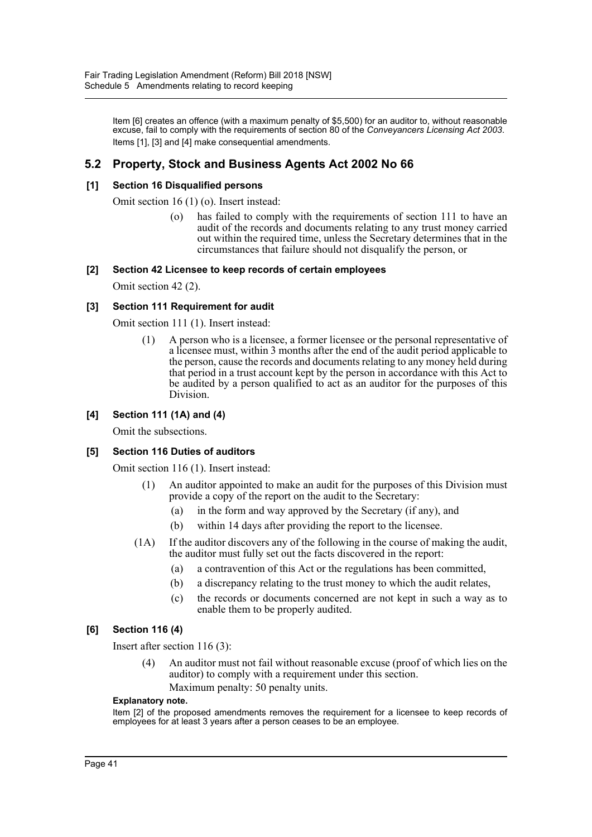Item [6] creates an offence (with a maximum penalty of \$5,500) for an auditor to, without reasonable excuse, fail to comply with the requirements of section 80 of the *Conveyancers Licensing Act 2003*. Items [1], [3] and [4] make consequential amendments.

## **5.2 Property, Stock and Business Agents Act 2002 No 66**

## **[1] Section 16 Disqualified persons**

Omit section 16 (1) (o). Insert instead:

(o) has failed to comply with the requirements of section 111 to have an audit of the records and documents relating to any trust money carried out within the required time, unless the Secretary determines that in the circumstances that failure should not disqualify the person, or

## **[2] Section 42 Licensee to keep records of certain employees**

Omit section 42 (2).

## **[3] Section 111 Requirement for audit**

Omit section 111 (1). Insert instead:

(1) A person who is a licensee, a former licensee or the personal representative of a licensee must, within 3 months after the end of the audit period applicable to the person, cause the records and documents relating to any money held during that period in a trust account kept by the person in accordance with this Act to be audited by a person qualified to act as an auditor for the purposes of this Division.

## **[4] Section 111 (1A) and (4)**

Omit the subsections.

## **[5] Section 116 Duties of auditors**

Omit section 116 (1). Insert instead:

- (1) An auditor appointed to make an audit for the purposes of this Division must provide a copy of the report on the audit to the Secretary:
	- (a) in the form and way approved by the Secretary (if any), and
	- (b) within 14 days after providing the report to the licensee.
- (1A) If the auditor discovers any of the following in the course of making the audit, the auditor must fully set out the facts discovered in the report:
	- (a) a contravention of this Act or the regulations has been committed,
	- (b) a discrepancy relating to the trust money to which the audit relates,
	- (c) the records or documents concerned are not kept in such a way as to enable them to be properly audited.

## **[6] Section 116 (4)**

Insert after section 116 (3):

(4) An auditor must not fail without reasonable excuse (proof of which lies on the auditor) to comply with a requirement under this section. Maximum penalty: 50 penalty units.

#### **Explanatory note.**

Item [2] of the proposed amendments removes the requirement for a licensee to keep records of employees for at least 3 years after a person ceases to be an employee.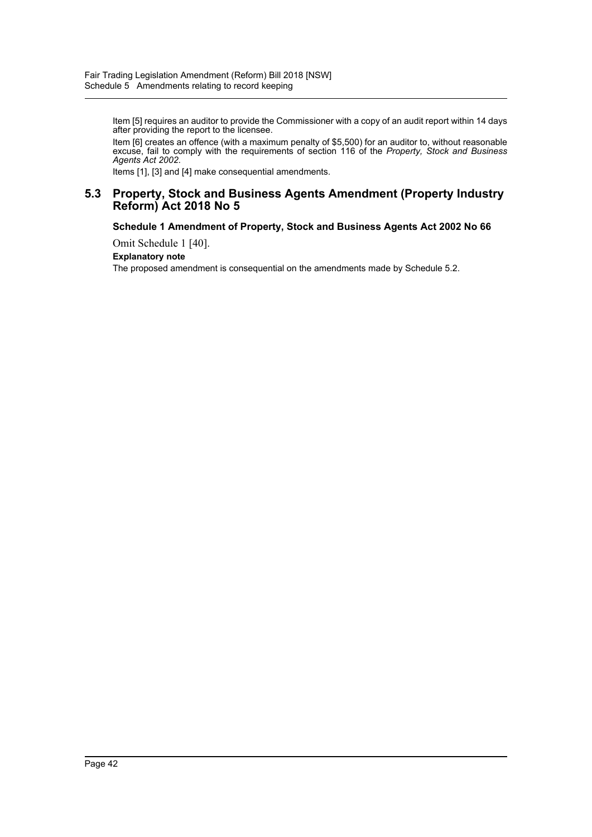Item [5] requires an auditor to provide the Commissioner with a copy of an audit report within 14 days after providing the report to the licensee.

Item [6] creates an offence (with a maximum penalty of \$5,500) for an auditor to, without reasonable excuse, fail to comply with the requirements of section 116 of the *Property, Stock and Business Agents Act 2002*.

Items [1], [3] and [4] make consequential amendments.

## **5.3 Property, Stock and Business Agents Amendment (Property Industry Reform) Act 2018 No 5**

## **Schedule 1 Amendment of Property, Stock and Business Agents Act 2002 No 66**

Omit Schedule 1 [40].

## **Explanatory note**

The proposed amendment is consequential on the amendments made by Schedule 5.2.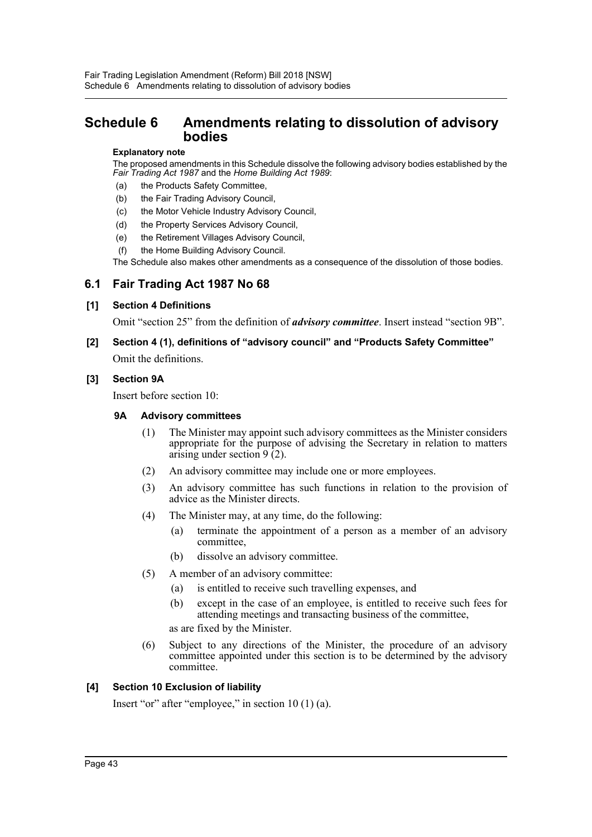## <span id="page-43-0"></span>**Schedule 6 Amendments relating to dissolution of advisory bodies**

#### **Explanatory note**

The proposed amendments in this Schedule dissolve the following advisory bodies established by the *Fair Trading Act 1987* and the *Home Building Act 1989*:

- (a) the Products Safety Committee,
- (b) the Fair Trading Advisory Council,
- (c) the Motor Vehicle Industry Advisory Council,
- (d) the Property Services Advisory Council,
- (e) the Retirement Villages Advisory Council,
- (f) the Home Building Advisory Council.

The Schedule also makes other amendments as a consequence of the dissolution of those bodies.

## **6.1 Fair Trading Act 1987 No 68**

## **[1] Section 4 Definitions**

Omit "section 25" from the definition of *advisory committee*. Insert instead "section 9B".

## **[2] Section 4 (1), definitions of "advisory council" and "Products Safety Committee"**

Omit the definitions.

#### **[3] Section 9A**

Insert before section 10:

## **9A Advisory committees**

- (1) The Minister may appoint such advisory committees as the Minister considers appropriate for the purpose of advising the Secretary in relation to matters arising under section 9 (2).
- (2) An advisory committee may include one or more employees.
- (3) An advisory committee has such functions in relation to the provision of advice as the Minister directs.
- (4) The Minister may, at any time, do the following:
	- (a) terminate the appointment of a person as a member of an advisory committee,
	- (b) dissolve an advisory committee.
- (5) A member of an advisory committee:
	- (a) is entitled to receive such travelling expenses, and
	- (b) except in the case of an employee, is entitled to receive such fees for attending meetings and transacting business of the committee,

as are fixed by the Minister.

(6) Subject to any directions of the Minister, the procedure of an advisory committee appointed under this section is to be determined by the advisory committee.

## **[4] Section 10 Exclusion of liability**

Insert "or" after "employee," in section 10 (1) (a).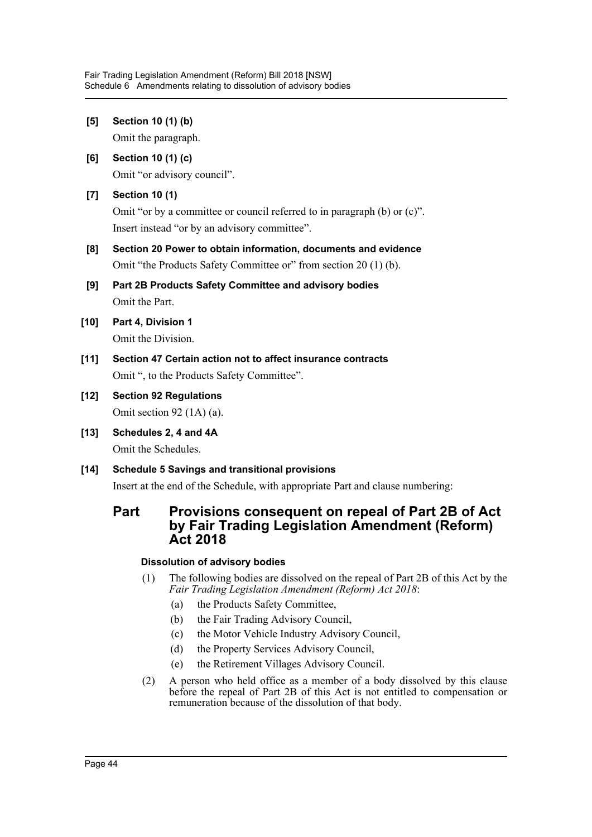**[5] Section 10 (1) (b)** Omit the paragraph. **[6] Section 10 (1) (c)** Omit "or advisory council". **[7] Section 10 (1)** Omit "or by a committee or council referred to in paragraph (b) or (c)". Insert instead "or by an advisory committee". **[8] Section 20 Power to obtain information, documents and evidence** Omit "the Products Safety Committee or" from section 20 (1) (b). **[9] Part 2B Products Safety Committee and advisory bodies** Omit the Part. **[10] Part 4, Division 1** Omit the Division. **[11] Section 47 Certain action not to affect insurance contracts** Omit ", to the Products Safety Committee". **[12] Section 92 Regulations** Omit section 92 (1A) (a). **[13] Schedules 2, 4 and 4A** Omit the Schedules. **[14] Schedule 5 Savings and transitional provisions** Insert at the end of the Schedule, with appropriate Part and clause numbering: **Part Provisions consequent on repeal of Part 2B of Act by Fair Trading Legislation Amendment (Reform) Act 2018**

## **Dissolution of advisory bodies**

- (1) The following bodies are dissolved on the repeal of Part 2B of this Act by the *Fair Trading Legislation Amendment (Reform) Act 2018*:
	- (a) the Products Safety Committee,
	- (b) the Fair Trading Advisory Council,
	- (c) the Motor Vehicle Industry Advisory Council,
	- (d) the Property Services Advisory Council,
	- (e) the Retirement Villages Advisory Council.
- (2) A person who held office as a member of a body dissolved by this clause before the repeal of Part 2B of this Act is not entitled to compensation or remuneration because of the dissolution of that body.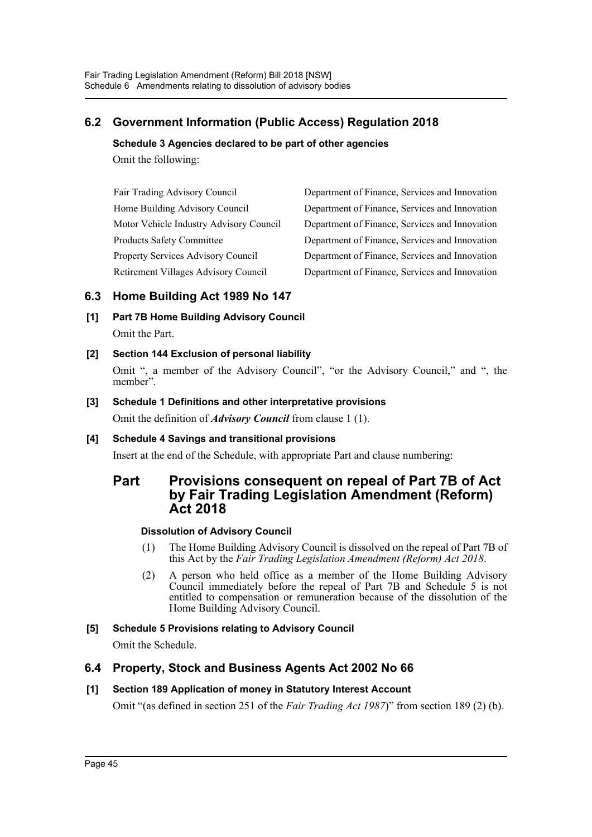## **6.2 Government Information (Public Access) Regulation 2018**

## **Schedule 3 Agencies declared to be part of other agencies**

Omit the following:

Fair Trading Advisory Council Department of Finance, Services and Innovation Home Building Advisory Council Department of Finance, Services and Innovation Motor Vehicle Industry Advisory Council Department of Finance, Services and Innovation Products Safety Committee Department of Finance, Services and Innovation Property Services Advisory Council Department of Finance, Services and Innovation Retirement Villages Advisory Council Department of Finance, Services and Innovation

## **6.3 Home Building Act 1989 No 147**

**[1] Part 7B Home Building Advisory Council** Omit the Part.

## **[2] Section 144 Exclusion of personal liability**

Omit ", a member of the Advisory Council", "or the Advisory Council," and ", the member".

## **[3] Schedule 1 Definitions and other interpretative provisions** Omit the definition of *Advisory Council* from clause 1 (1).

## **[4] Schedule 4 Savings and transitional provisions**

Insert at the end of the Schedule, with appropriate Part and clause numbering:

## **Part Provisions consequent on repeal of Part 7B of Act by Fair Trading Legislation Amendment (Reform) Act 2018**

## **Dissolution of Advisory Council**

- (1) The Home Building Advisory Council is dissolved on the repeal of Part 7B of this Act by the *Fair Trading Legislation Amendment (Reform) Act 2018*.
- (2) A person who held office as a member of the Home Building Advisory Council immediately before the repeal of Part 7B and Schedule 5 is not entitled to compensation or remuneration because of the dissolution of the Home Building Advisory Council.

## **[5] Schedule 5 Provisions relating to Advisory Council**

Omit the Schedule.

## **6.4 Property, Stock and Business Agents Act 2002 No 66**

## **[1] Section 189 Application of money in Statutory Interest Account**

Omit "(as defined in section 251 of the *Fair Trading Act 1987*)" from section 189 (2) (b).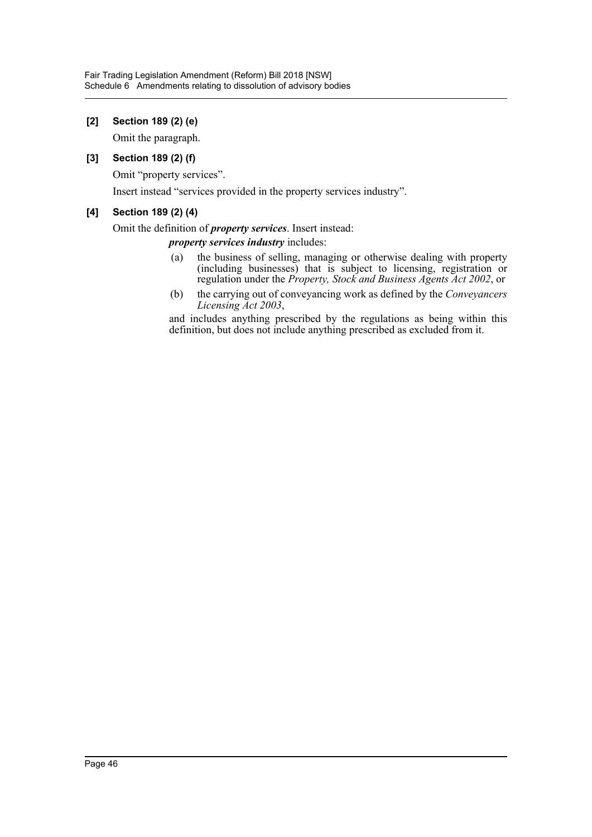## **[2] Section 189 (2) (e)**

Omit the paragraph.

## **[3] Section 189 (2) (f)**

Omit "property services".

Insert instead "services provided in the property services industry".

## **[4] Section 189 (2) (4)**

## Omit the definition of *property services*. Insert instead:

*property services industry* includes:

- (a) the business of selling, managing or otherwise dealing with property (including businesses) that is subject to licensing, registration or regulation under the *Property, Stock and Business Agents Act 2002*, or
- (b) the carrying out of conveyancing work as defined by the *Conveyancers Licensing Act 2003*,

and includes anything prescribed by the regulations as being within this definition, but does not include anything prescribed as excluded from it.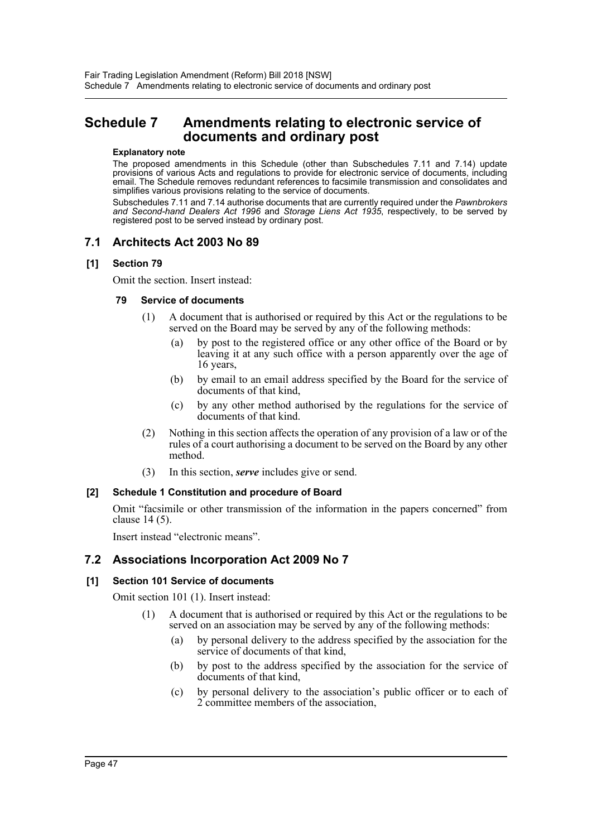## <span id="page-47-0"></span>**Schedule 7 Amendments relating to electronic service of documents and ordinary post**

#### **Explanatory note**

The proposed amendments in this Schedule (other than Subschedules 7.11 and 7.14) update provisions of various Acts and regulations to provide for electronic service of documents, including email. The Schedule removes redundant references to facsimile transmission and consolidates and simplifies various provisions relating to the service of documents.

Subschedules 7.11 and 7.14 authorise documents that are currently required under the *Pawnbrokers and Second-hand Dealers Act 1996* and *Storage Liens Act 1935*, respectively, to be served by registered post to be served instead by ordinary post.

## **7.1 Architects Act 2003 No 89**

## **[1] Section 79**

Omit the section. Insert instead:

## **79 Service of documents**

- (1) A document that is authorised or required by this Act or the regulations to be served on the Board may be served by any of the following methods:
	- (a) by post to the registered office or any other office of the Board or by leaving it at any such office with a person apparently over the age of 16 years,
	- (b) by email to an email address specified by the Board for the service of documents of that kind,
	- (c) by any other method authorised by the regulations for the service of documents of that kind.
- (2) Nothing in this section affects the operation of any provision of a law or of the rules of a court authorising a document to be served on the Board by any other method.
- (3) In this section, *serve* includes give or send.

## **[2] Schedule 1 Constitution and procedure of Board**

Omit "facsimile or other transmission of the information in the papers concerned" from clause 14 (5).

Insert instead "electronic means".

## **7.2 Associations Incorporation Act 2009 No 7**

## **[1] Section 101 Service of documents**

Omit section 101 (1). Insert instead:

- (1) A document that is authorised or required by this Act or the regulations to be served on an association may be served by any of the following methods:
	- (a) by personal delivery to the address specified by the association for the service of documents of that kind,
	- (b) by post to the address specified by the association for the service of documents of that kind,
	- (c) by personal delivery to the association's public officer or to each of 2 committee members of the association,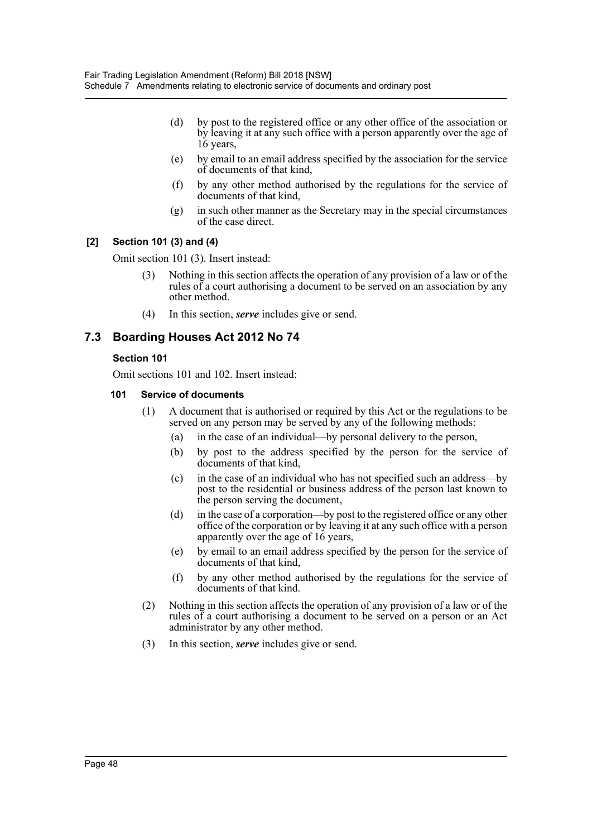- (d) by post to the registered office or any other office of the association or by leaving it at any such office with a person apparently over the age of 16 years,
- (e) by email to an email address specified by the association for the service of documents of that kind,
- (f) by any other method authorised by the regulations for the service of documents of that kind,
- (g) in such other manner as the Secretary may in the special circumstances of the case direct.

## **[2] Section 101 (3) and (4)**

Omit section 101 (3). Insert instead:

- Nothing in this section affects the operation of any provision of a law or of the rules of a court authorising a document to be served on an association by any other method.
- (4) In this section, *serve* includes give or send.

## **7.3 Boarding Houses Act 2012 No 74**

## **Section 101**

Omit sections 101 and 102. Insert instead:

## **101 Service of documents**

- (1) A document that is authorised or required by this Act or the regulations to be served on any person may be served by any of the following methods:
	- (a) in the case of an individual—by personal delivery to the person,
	- (b) by post to the address specified by the person for the service of documents of that kind,
	- (c) in the case of an individual who has not specified such an address—by post to the residential or business address of the person last known to the person serving the document,
	- (d) in the case of a corporation—by post to the registered office or any other office of the corporation or by leaving it at any such office with a person apparently over the age of 16 years,
	- (e) by email to an email address specified by the person for the service of documents of that kind,
	- (f) by any other method authorised by the regulations for the service of documents of that kind.
- (2) Nothing in this section affects the operation of any provision of a law or of the rules of a court authorising a document to be served on a person or an Act administrator by any other method.
- (3) In this section, *serve* includes give or send.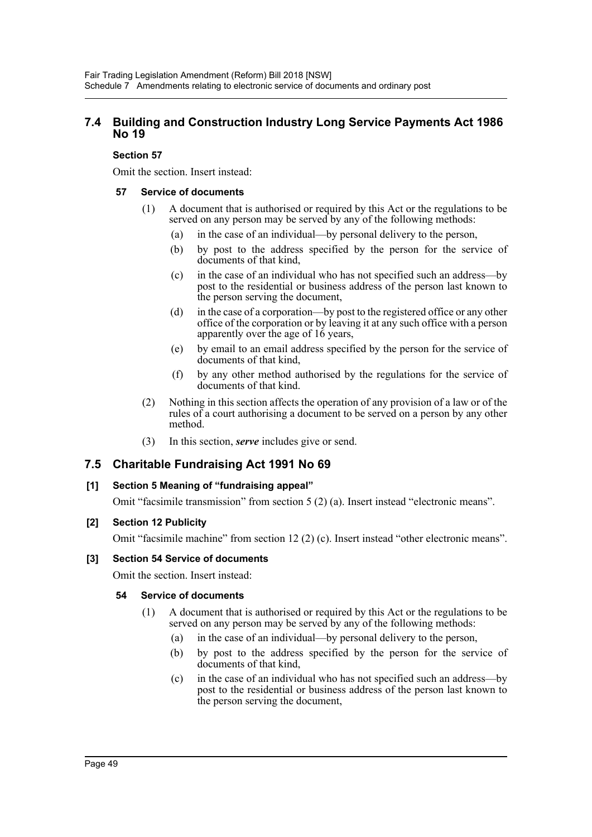## **7.4 Building and Construction Industry Long Service Payments Act 1986 No 19**

## **Section 57**

Omit the section. Insert instead:

## **57 Service of documents**

- (1) A document that is authorised or required by this Act or the regulations to be served on any person may be served by any of the following methods:
	- (a) in the case of an individual—by personal delivery to the person,
	- (b) by post to the address specified by the person for the service of documents of that kind,
	- (c) in the case of an individual who has not specified such an address—by post to the residential or business address of the person last known to the person serving the document,
	- (d) in the case of a corporation—by post to the registered office or any other office of the corporation or by leaving it at any such office with a person apparently over the age of 16 years,
	- (e) by email to an email address specified by the person for the service of documents of that kind,
	- (f) by any other method authorised by the regulations for the service of documents of that kind.
- (2) Nothing in this section affects the operation of any provision of a law or of the rules of a court authorising a document to be served on a person by any other method.
- (3) In this section, *serve* includes give or send.

## **7.5 Charitable Fundraising Act 1991 No 69**

## **[1] Section 5 Meaning of "fundraising appeal"**

Omit "facsimile transmission" from section 5 (2) (a). Insert instead "electronic means".

## **[2] Section 12 Publicity**

Omit "facsimile machine" from section 12 (2) (c). Insert instead "other electronic means".

## **[3] Section 54 Service of documents**

Omit the section. Insert instead:

## **54 Service of documents**

- (1) A document that is authorised or required by this Act or the regulations to be served on any person may be served by any of the following methods:
	- (a) in the case of an individual—by personal delivery to the person,
	- (b) by post to the address specified by the person for the service of documents of that kind,
	- (c) in the case of an individual who has not specified such an address—by post to the residential or business address of the person last known to the person serving the document,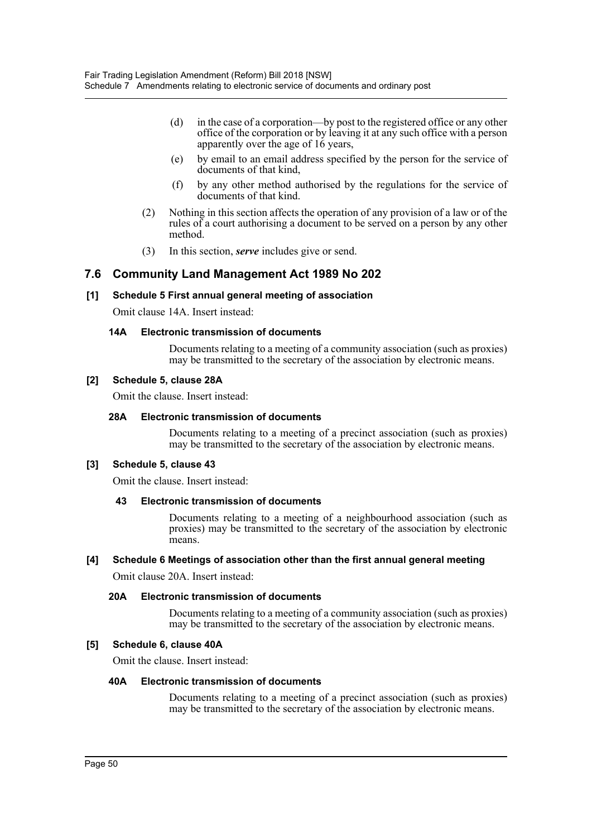- (d) in the case of a corporation—by post to the registered office or any other office of the corporation or by leaving it at any such office with a person apparently over the age of 16 years,
- (e) by email to an email address specified by the person for the service of documents of that kind,
- (f) by any other method authorised by the regulations for the service of documents of that kind.
- (2) Nothing in this section affects the operation of any provision of a law or of the rules of a court authorising a document to be served on a person by any other method.
- (3) In this section, *serve* includes give or send.

## **7.6 Community Land Management Act 1989 No 202**

## **[1] Schedule 5 First annual general meeting of association**

Omit clause 14A. Insert instead:

#### **14A Electronic transmission of documents**

Documents relating to a meeting of a community association (such as proxies) may be transmitted to the secretary of the association by electronic means.

#### **[2] Schedule 5, clause 28A**

Omit the clause. Insert instead:

## **28A Electronic transmission of documents**

Documents relating to a meeting of a precinct association (such as proxies) may be transmitted to the secretary of the association by electronic means.

## **[3] Schedule 5, clause 43**

Omit the clause. Insert instead:

## **43 Electronic transmission of documents**

Documents relating to a meeting of a neighbourhood association (such as proxies) may be transmitted to the secretary of the association by electronic means.

#### **[4] Schedule 6 Meetings of association other than the first annual general meeting**

Omit clause 20A. Insert instead:

#### **20A Electronic transmission of documents**

Documents relating to a meeting of a community association (such as proxies) may be transmitted to the secretary of the association by electronic means.

#### **[5] Schedule 6, clause 40A**

Omit the clause. Insert instead:

#### **40A Electronic transmission of documents**

Documents relating to a meeting of a precinct association (such as proxies) may be transmitted to the secretary of the association by electronic means.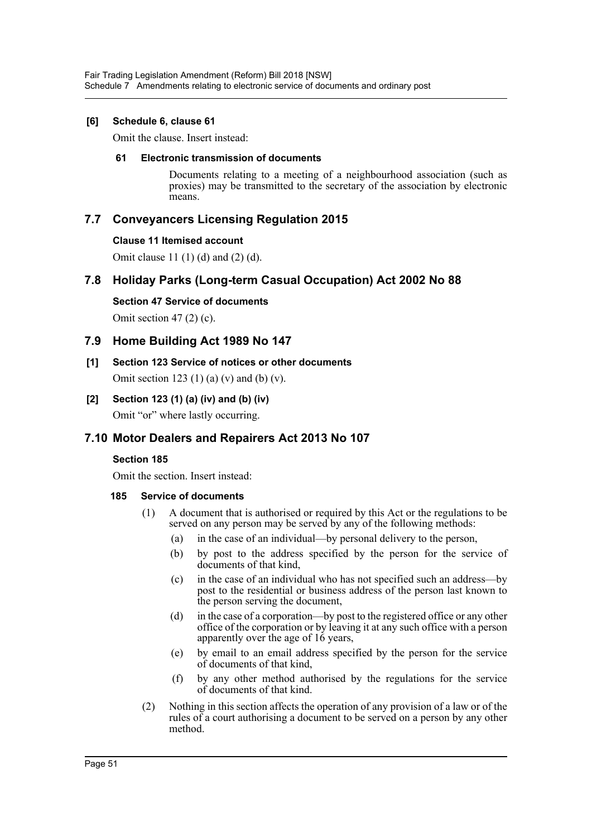## **[6] Schedule 6, clause 61**

Omit the clause. Insert instead:

## **61 Electronic transmission of documents**

Documents relating to a meeting of a neighbourhood association (such as proxies) may be transmitted to the secretary of the association by electronic means.

## **7.7 Conveyancers Licensing Regulation 2015**

## **Clause 11 Itemised account**

Omit clause 11 (1) (d) and (2) (d).

## **7.8 Holiday Parks (Long-term Casual Occupation) Act 2002 No 88**

**Section 47 Service of documents** Omit section  $47(2)(c)$ .

## **7.9 Home Building Act 1989 No 147**

- **[1] Section 123 Service of notices or other documents** Omit section 123 (1) (a) (v) and (b) (v).
- **[2] Section 123 (1) (a) (iv) and (b) (iv)** Omit "or" where lastly occurring.

## **7.10 Motor Dealers and Repairers Act 2013 No 107**

## **Section 185**

Omit the section. Insert instead:

## **185 Service of documents**

- (1) A document that is authorised or required by this Act or the regulations to be served on any person may be served by any of the following methods:
	- (a) in the case of an individual—by personal delivery to the person,
	- (b) by post to the address specified by the person for the service of documents of that kind,
	- (c) in the case of an individual who has not specified such an address—by post to the residential or business address of the person last known to the person serving the document,
	- (d) in the case of a corporation—by post to the registered office or any other office of the corporation or by leaving it at any such office with a person apparently over the age of 16 years,
	- (e) by email to an email address specified by the person for the service of documents of that kind,
	- (f) by any other method authorised by the regulations for the service of documents of that kind.
- (2) Nothing in this section affects the operation of any provision of a law or of the rules of a court authorising a document to be served on a person by any other method.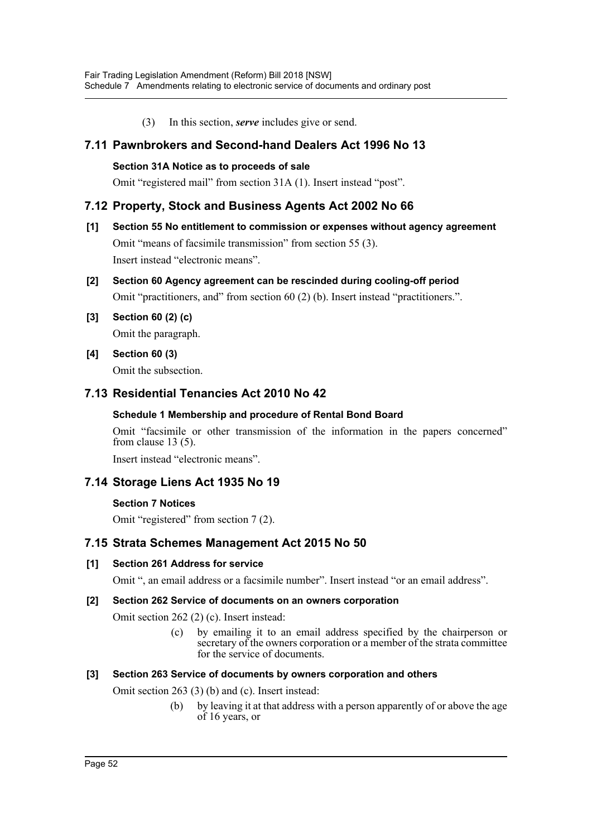(3) In this section, *serve* includes give or send.

## **7.11 Pawnbrokers and Second-hand Dealers Act 1996 No 13**

## **Section 31A Notice as to proceeds of sale**

Omit "registered mail" from section 31A (1). Insert instead "post".

## **7.12 Property, Stock and Business Agents Act 2002 No 66**

- **[1] Section 55 No entitlement to commission or expenses without agency agreement** Omit "means of facsimile transmission" from section 55 (3). Insert instead "electronic means".
- **[2] Section 60 Agency agreement can be rescinded during cooling-off period** Omit "practitioners, and" from section 60 (2) (b). Insert instead "practitioners.".
- **[3] Section 60 (2) (c)** Omit the paragraph.
- **[4] Section 60 (3)** Omit the subsection.

## **7.13 Residential Tenancies Act 2010 No 42**

## **Schedule 1 Membership and procedure of Rental Bond Board**

Omit "facsimile or other transmission of the information in the papers concerned" from clause 13 (5).

Insert instead "electronic means".

## **7.14 Storage Liens Act 1935 No 19**

## **Section 7 Notices**

Omit "registered" from section 7 (2).

## **7.15 Strata Schemes Management Act 2015 No 50**

## **[1] Section 261 Address for service**

Omit ", an email address or a facsimile number". Insert instead "or an email address".

## **[2] Section 262 Service of documents on an owners corporation**

Omit section 262 (2) (c). Insert instead:

(c) by emailing it to an email address specified by the chairperson or secretary of the owners corporation or a member of the strata committee for the service of documents.

## **[3] Section 263 Service of documents by owners corporation and others**

Omit section 263 (3) (b) and (c). Insert instead:

(b) by leaving it at that address with a person apparently of or above the age of 16 years, or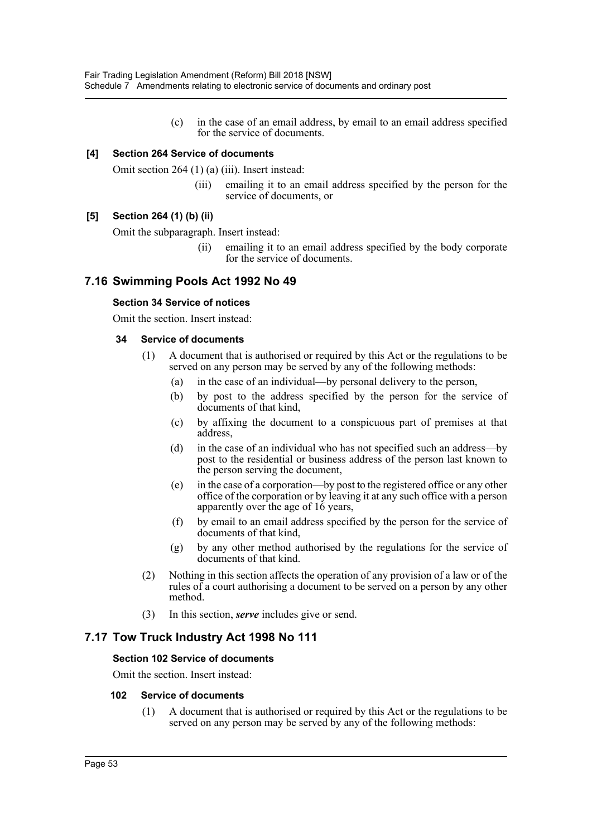(c) in the case of an email address, by email to an email address specified for the service of documents.

## **[4] Section 264 Service of documents**

Omit section 264 (1) (a) (iii). Insert instead:

(iii) emailing it to an email address specified by the person for the service of documents, or

## **[5] Section 264 (1) (b) (ii)**

Omit the subparagraph. Insert instead:

(ii) emailing it to an email address specified by the body corporate for the service of documents.

## **7.16 Swimming Pools Act 1992 No 49**

## **Section 34 Service of notices**

Omit the section. Insert instead:

## **34 Service of documents**

- (1) A document that is authorised or required by this Act or the regulations to be served on any person may be served by any of the following methods:
	- (a) in the case of an individual—by personal delivery to the person,
	- (b) by post to the address specified by the person for the service of documents of that kind,
	- (c) by affixing the document to a conspicuous part of premises at that address,
	- (d) in the case of an individual who has not specified such an address—by post to the residential or business address of the person last known to the person serving the document,
	- (e) in the case of a corporation—by post to the registered office or any other office of the corporation or by leaving it at any such office with a person apparently over the age of 16 years,
	- (f) by email to an email address specified by the person for the service of documents of that kind,
	- (g) by any other method authorised by the regulations for the service of documents of that kind.
- (2) Nothing in this section affects the operation of any provision of a law or of the rules of a court authorising a document to be served on a person by any other method.
- (3) In this section, *serve* includes give or send.

## **7.17 Tow Truck Industry Act 1998 No 111**

## **Section 102 Service of documents**

Omit the section. Insert instead:

## **102 Service of documents**

(1) A document that is authorised or required by this Act or the regulations to be served on any person may be served by any of the following methods: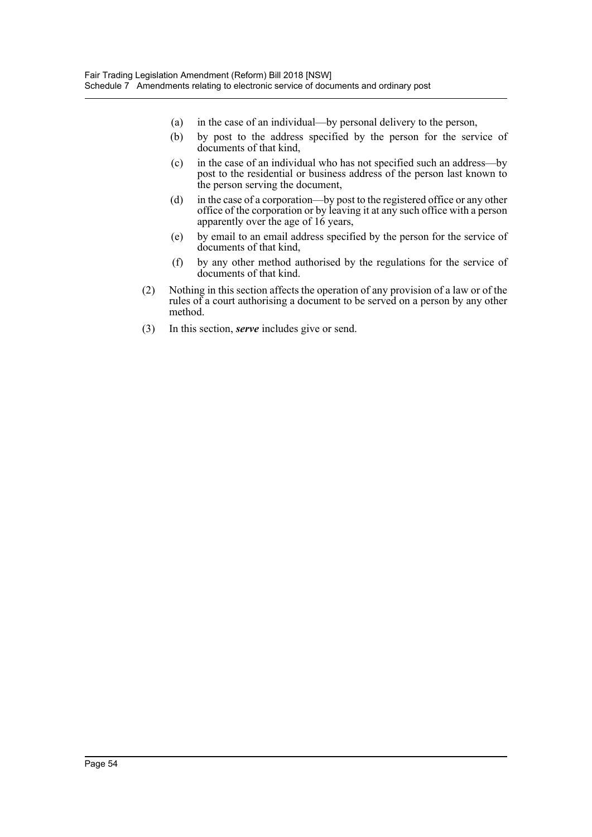- (a) in the case of an individual—by personal delivery to the person,
- (b) by post to the address specified by the person for the service of documents of that kind,
- (c) in the case of an individual who has not specified such an address—by post to the residential or business address of the person last known to the person serving the document,
- (d) in the case of a corporation—by post to the registered office or any other office of the corporation or by leaving it at any such office with a person apparently over the age of 16 years,
- (e) by email to an email address specified by the person for the service of documents of that kind,
- (f) by any other method authorised by the regulations for the service of documents of that kind.
- (2) Nothing in this section affects the operation of any provision of a law or of the rules of a court authorising a document to be served on a person by any other method.
- (3) In this section, *serve* includes give or send.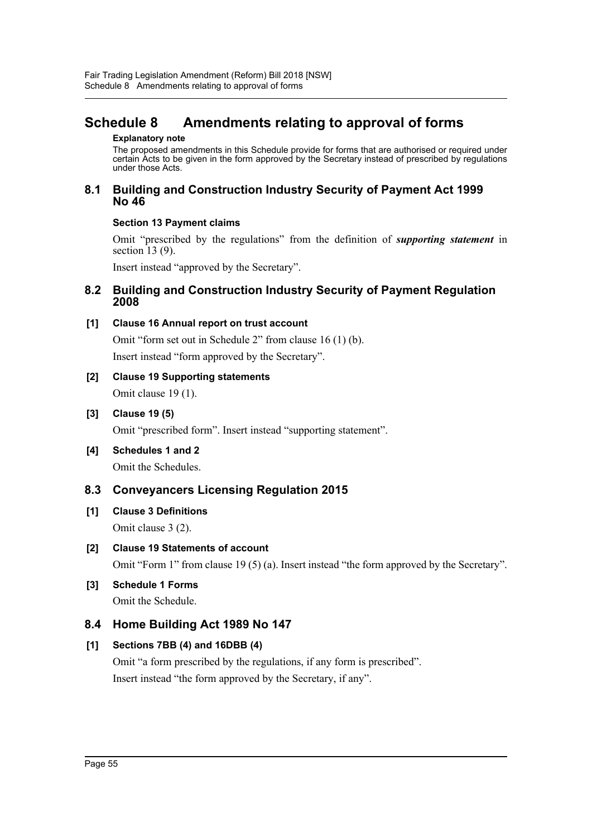# <span id="page-55-0"></span>**Schedule 8 Amendments relating to approval of forms**

#### **Explanatory note**

The proposed amendments in this Schedule provide for forms that are authorised or required under certain Acts to be given in the form approved by the Secretary instead of prescribed by regulations under those Acts.

## **8.1 Building and Construction Industry Security of Payment Act 1999 No 46**

## **Section 13 Payment claims**

Omit "prescribed by the regulations" from the definition of *supporting statement* in section 13 (9).

Insert instead "approved by the Secretary".

## **8.2 Building and Construction Industry Security of Payment Regulation 2008**

## **[1] Clause 16 Annual report on trust account**

Omit "form set out in Schedule 2" from clause 16 (1) (b). Insert instead "form approved by the Secretary".

# **[2] Clause 19 Supporting statements**

Omit clause 19 (1).

## **[3] Clause 19 (5)**

Omit "prescribed form". Insert instead "supporting statement".

**[4] Schedules 1 and 2** Omit the Schedules.

## **8.3 Conveyancers Licensing Regulation 2015**

## **[1] Clause 3 Definitions** Omit clause 3 (2).

**[2] Clause 19 Statements of account** Omit "Form 1" from clause 19 (5) (a). Insert instead "the form approved by the Secretary".

## **[3] Schedule 1 Forms**

Omit the Schedule.

## **8.4 Home Building Act 1989 No 147**

## **[1] Sections 7BB (4) and 16DBB (4)**

Omit "a form prescribed by the regulations, if any form is prescribed". Insert instead "the form approved by the Secretary, if any".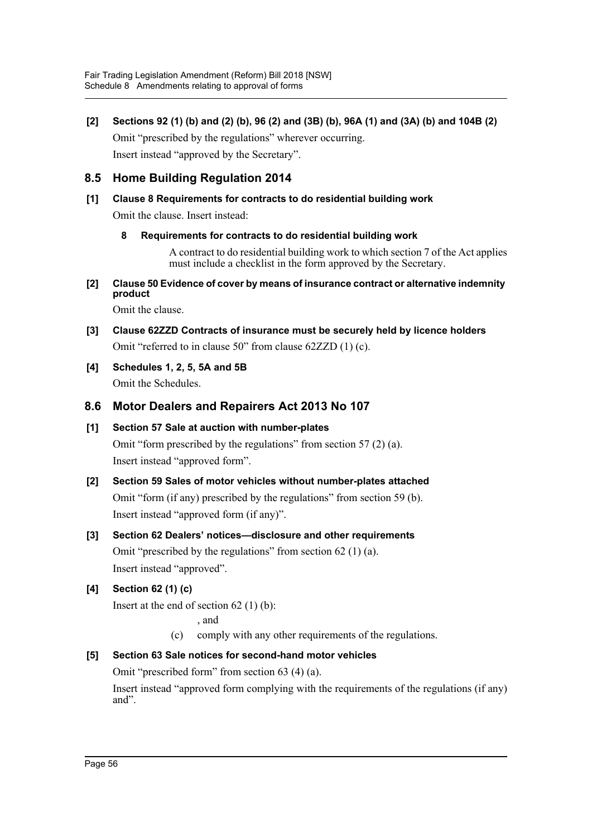**[2] Sections 92 (1) (b) and (2) (b), 96 (2) and (3B) (b), 96A (1) and (3A) (b) and 104B (2)** Omit "prescribed by the regulations" wherever occurring. Insert instead "approved by the Secretary".

## **8.5 Home Building Regulation 2014**

# **[1] Clause 8 Requirements for contracts to do residential building work**

Omit the clause. Insert instead:

**8 Requirements for contracts to do residential building work**

A contract to do residential building work to which section 7 of the Act applies must include a checklist in the form approved by the Secretary.

**[2] Clause 50 Evidence of cover by means of insurance contract or alternative indemnity product**

Omit the clause.

- **[3] Clause 62ZZD Contracts of insurance must be securely held by licence holders** Omit "referred to in clause 50" from clause 62ZZD (1) (c).
- **[4] Schedules 1, 2, 5, 5A and 5B** Omit the Schedules.

## **8.6 Motor Dealers and Repairers Act 2013 No 107**

## **[1] Section 57 Sale at auction with number-plates** Omit "form prescribed by the regulations" from section 57 (2) (a). Insert instead "approved form".

- **[2] Section 59 Sales of motor vehicles without number-plates attached** Omit "form (if any) prescribed by the regulations" from section 59 (b). Insert instead "approved form (if any)".
- **[3] Section 62 Dealers' notices—disclosure and other requirements** Omit "prescribed by the regulations" from section 62 (1) (a). Insert instead "approved".

## **[4] Section 62 (1) (c)**

Insert at the end of section 62 (1) (b):

, and

(c) comply with any other requirements of the regulations.

## **[5] Section 63 Sale notices for second-hand motor vehicles**

Omit "prescribed form" from section 63 (4) (a).

Insert instead "approved form complying with the requirements of the regulations (if any) and".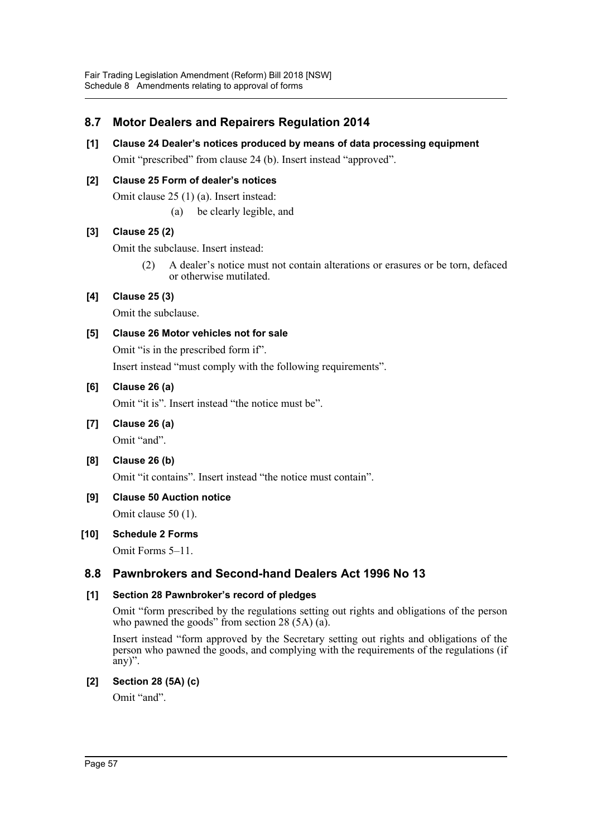## **8.7 Motor Dealers and Repairers Regulation 2014**

**[1] Clause 24 Dealer's notices produced by means of data processing equipment** Omit "prescribed" from clause 24 (b). Insert instead "approved".

## **[2] Clause 25 Form of dealer's notices**

Omit clause 25 (1) (a). Insert instead:

(a) be clearly legible, and

## **[3] Clause 25 (2)**

Omit the subclause. Insert instead:

(2) A dealer's notice must not contain alterations or erasures or be torn, defaced or otherwise mutilated.

## **[4] Clause 25 (3)**

Omit the subclause.

## **[5] Clause 26 Motor vehicles not for sale**

Omit "is in the prescribed form if".

Insert instead "must comply with the following requirements".

## **[6] Clause 26 (a)**

Omit "it is". Insert instead "the notice must be".

**[7] Clause 26 (a)**

Omit "and".

**[8] Clause 26 (b)**

Omit "it contains". Insert instead "the notice must contain".

**[9] Clause 50 Auction notice**

Omit clause 50 (1).

## **[10] Schedule 2 Forms**

Omit Forms 5–11.

## **8.8 Pawnbrokers and Second-hand Dealers Act 1996 No 13**

## **[1] Section 28 Pawnbroker's record of pledges**

Omit "form prescribed by the regulations setting out rights and obligations of the person who pawned the goods" from section 28 (5A) (a).

Insert instead "form approved by the Secretary setting out rights and obligations of the person who pawned the goods, and complying with the requirements of the regulations (if any)".

## **[2] Section 28 (5A) (c)**

Omit "and".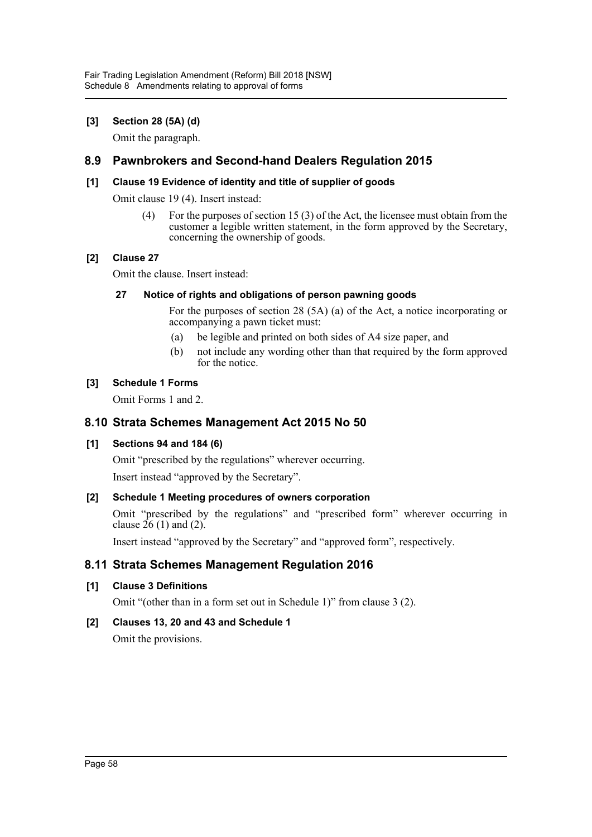## **[3] Section 28 (5A) (d)**

Omit the paragraph.

## **8.9 Pawnbrokers and Second-hand Dealers Regulation 2015**

## **[1] Clause 19 Evidence of identity and title of supplier of goods**

Omit clause 19 (4). Insert instead:

(4) For the purposes of section 15 (3) of the Act, the licensee must obtain from the customer a legible written statement, in the form approved by the Secretary, concerning the ownership of goods.

## **[2] Clause 27**

Omit the clause. Insert instead:

## **27 Notice of rights and obligations of person pawning goods**

For the purposes of section 28 (5A) (a) of the Act, a notice incorporating or accompanying a pawn ticket must:

- (a) be legible and printed on both sides of A4 size paper, and
- (b) not include any wording other than that required by the form approved for the notice.

## **[3] Schedule 1 Forms**

Omit Forms 1 and 2.

## **8.10 Strata Schemes Management Act 2015 No 50**

## **[1] Sections 94 and 184 (6)**

Omit "prescribed by the regulations" wherever occurring.

Insert instead "approved by the Secretary".

## **[2] Schedule 1 Meeting procedures of owners corporation**

Omit "prescribed by the regulations" and "prescribed form" wherever occurring in clause  $26(1)$  and  $(2)$ .

Insert instead "approved by the Secretary" and "approved form", respectively.

## **8.11 Strata Schemes Management Regulation 2016**

## **[1] Clause 3 Definitions**

Omit "(other than in a form set out in Schedule 1)" from clause 3 (2).

## **[2] Clauses 13, 20 and 43 and Schedule 1**

Omit the provisions.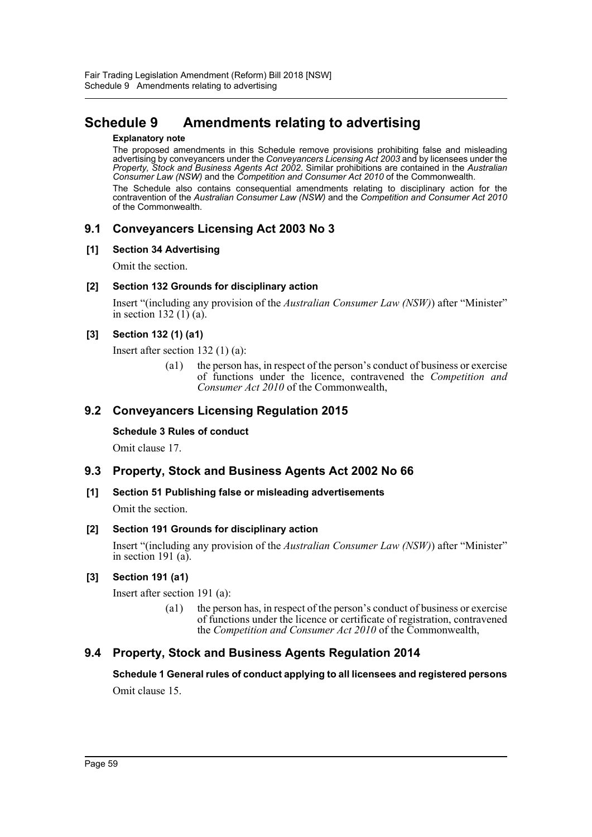## <span id="page-59-0"></span>**Schedule 9 Amendments relating to advertising**

#### **Explanatory note**

The proposed amendments in this Schedule remove provisions prohibiting false and misleading advertising by conveyancers under the *Conveyancers Licensing Act 2003* and by licensees under the *Property, Stock and Business Agents Act 2002*. Similar prohibitions are contained in the *Australian Consumer Law (NSW)* and the *Competition and Consumer Act 2010* of the Commonwealth. The Schedule also contains consequential amendments relating to disciplinary action for the contravention of the *Australian Consumer Law (NSW)* and the *Competition and Consumer Act 2010*

of the Commonwealth.

## **9.1 Conveyancers Licensing Act 2003 No 3**

## **[1] Section 34 Advertising**

Omit the section.

## **[2] Section 132 Grounds for disciplinary action**

Insert "(including any provision of the *Australian Consumer Law (NSW)*) after "Minister" in section 132 (1) (a).

## **[3] Section 132 (1) (a1)**

Insert after section 132 (1) (a):

(a1) the person has, in respect of the person's conduct of business or exercise of functions under the licence, contravened the *Competition and Consumer Act 2010* of the Commonwealth,

## **9.2 Conveyancers Licensing Regulation 2015**

## **Schedule 3 Rules of conduct**

Omit clause 17.

## **9.3 Property, Stock and Business Agents Act 2002 No 66**

## **[1] Section 51 Publishing false or misleading advertisements**

Omit the section.

## **[2] Section 191 Grounds for disciplinary action**

Insert "(including any provision of the *Australian Consumer Law (NSW)*) after "Minister" in section 191 (a).

## **[3] Section 191 (a1)**

Insert after section 191 (a):

(a1) the person has, in respect of the person's conduct of business or exercise of functions under the licence or certificate of registration, contravened the *Competition and Consumer Act 2010* of the Commonwealth,

## **9.4 Property, Stock and Business Agents Regulation 2014**

**Schedule 1 General rules of conduct applying to all licensees and registered persons**

Omit clause 15.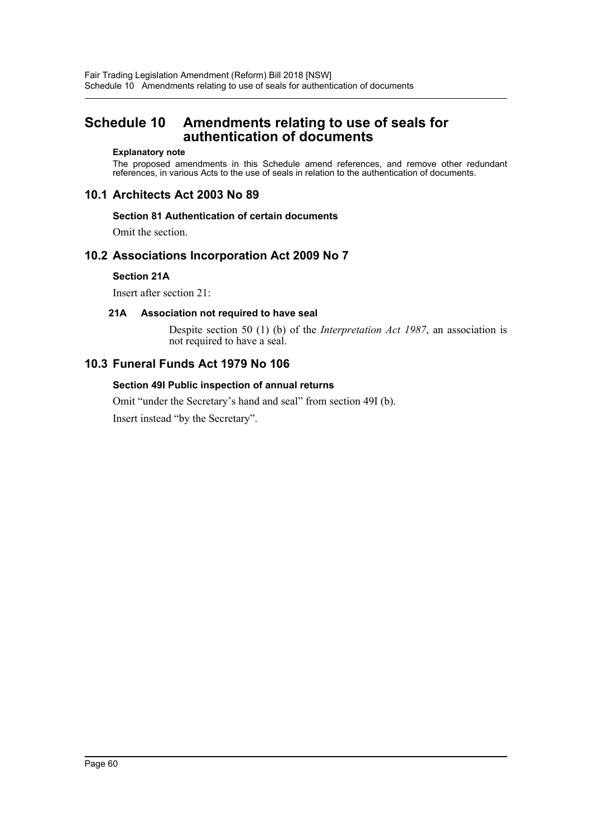## <span id="page-60-0"></span>**Schedule 10 Amendments relating to use of seals for authentication of documents**

#### **Explanatory note**

The proposed amendments in this Schedule amend references, and remove other redundant references, in various Acts to the use of seals in relation to the authentication of documents.

## **10.1 Architects Act 2003 No 89**

## **Section 81 Authentication of certain documents**

Omit the section.

## **10.2 Associations Incorporation Act 2009 No 7**

## **Section 21A**

Insert after section 21:

## **21A Association not required to have seal**

Despite section 50 (1) (b) of the *Interpretation Act 1987*, an association is not required to have a seal.

## **10.3 Funeral Funds Act 1979 No 106**

## **Section 49I Public inspection of annual returns**

Omit "under the Secretary's hand and seal" from section 49I (b).

Insert instead "by the Secretary".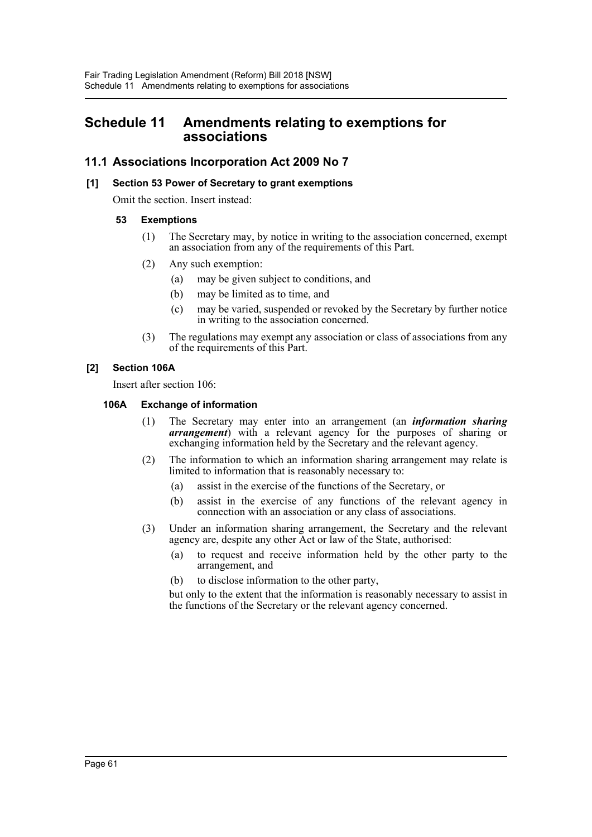## <span id="page-61-0"></span>**Schedule 11 Amendments relating to exemptions for associations**

## **11.1 Associations Incorporation Act 2009 No 7**

## **[1] Section 53 Power of Secretary to grant exemptions**

Omit the section. Insert instead:

## **53 Exemptions**

- (1) The Secretary may, by notice in writing to the association concerned, exempt an association from any of the requirements of this Part.
- (2) Any such exemption:
	- (a) may be given subject to conditions, and
	- (b) may be limited as to time, and
	- (c) may be varied, suspended or revoked by the Secretary by further notice in writing to the association concerned.
- (3) The regulations may exempt any association or class of associations from any of the requirements of this Part.

## **[2] Section 106A**

Insert after section 106:

## **106A Exchange of information**

- (1) The Secretary may enter into an arrangement (an *information sharing arrangement*) with a relevant agency for the purposes of sharing or exchanging information held by the Secretary and the relevant agency.
- (2) The information to which an information sharing arrangement may relate is limited to information that is reasonably necessary to:
	- (a) assist in the exercise of the functions of the Secretary, or
	- (b) assist in the exercise of any functions of the relevant agency in connection with an association or any class of associations.
- (3) Under an information sharing arrangement, the Secretary and the relevant agency are, despite any other Act or law of the State, authorised:
	- (a) to request and receive information held by the other party to the arrangement, and
	- (b) to disclose information to the other party,

but only to the extent that the information is reasonably necessary to assist in the functions of the Secretary or the relevant agency concerned.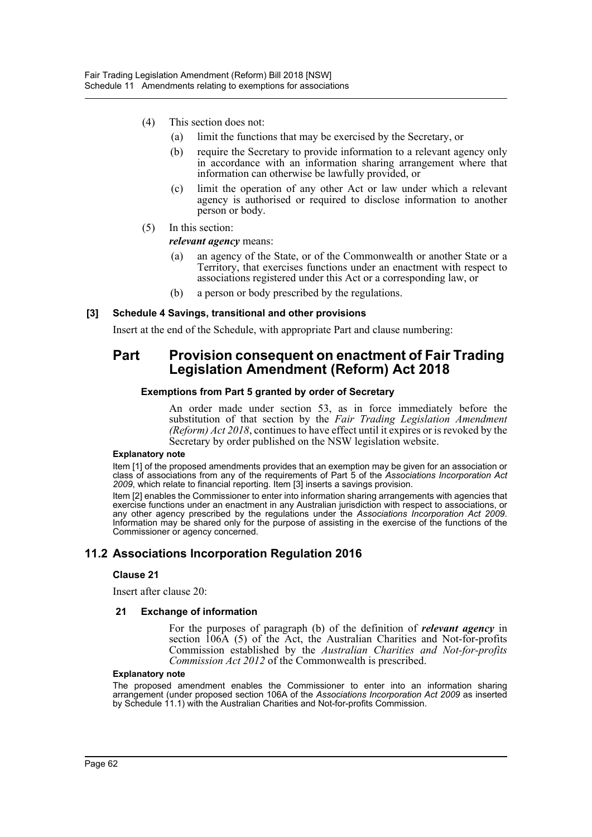- (4) This section does not:
	- (a) limit the functions that may be exercised by the Secretary, or
	- (b) require the Secretary to provide information to a relevant agency only in accordance with an information sharing arrangement where that information can otherwise be lawfully provided, or
	- (c) limit the operation of any other Act or law under which a relevant agency is authorised or required to disclose information to another person or body.
- (5) In this section:

#### *relevant agency* means:

- (a) an agency of the State, or of the Commonwealth or another State or a Territory, that exercises functions under an enactment with respect to associations registered under this Act or a corresponding law, or
- (b) a person or body prescribed by the regulations.

#### **[3] Schedule 4 Savings, transitional and other provisions**

Insert at the end of the Schedule, with appropriate Part and clause numbering:

## **Part Provision consequent on enactment of Fair Trading Legislation Amendment (Reform) Act 2018**

#### **Exemptions from Part 5 granted by order of Secretary**

An order made under section 53, as in force immediately before the substitution of that section by the *Fair Trading Legislation Amendment (Reform) Act 2018*, continues to have effect until it expires or is revoked by the Secretary by order published on the NSW legislation website.

#### **Explanatory note**

Item [1] of the proposed amendments provides that an exemption may be given for an association or class of associations from any of the requirements of Part 5 of the *Associations Incorporation Act 2009*, which relate to financial reporting. Item [3] inserts a savings provision.

Item [2] enables the Commissioner to enter into information sharing arrangements with agencies that exercise functions under an enactment in any Australian jurisdiction with respect to associations, or any other agency prescribed by the regulations under the *Associations Incorporation Act 2009*. Information may be shared only for the purpose of assisting in the exercise of the functions of the Commissioner or agency concerned.

## **11.2 Associations Incorporation Regulation 2016**

#### **Clause 21**

Insert after clause 20:

#### **21 Exchange of information**

For the purposes of paragraph (b) of the definition of *relevant agency* in section 106A (5) of the Act, the Australian Charities and Not-for-profits Commission established by the *Australian Charities and Not-for-profits Commission Act 2012* of the Commonwealth is prescribed.

#### **Explanatory note**

The proposed amendment enables the Commissioner to enter into an information sharing arrangement (under proposed section 106A of the *Associations Incorporation Act 2009* as inserted by Schedule 11.1) with the Australian Charities and Not-for-profits Commission.